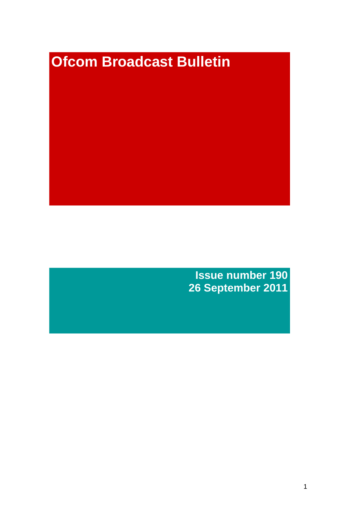# **Ofcom Broadcast Bulletin**

**Issue number 190 26 September 2011**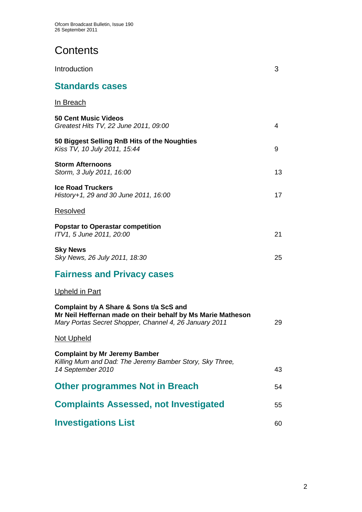# **Contents**

| Introduction                                                                                                                                                     | 3  |
|------------------------------------------------------------------------------------------------------------------------------------------------------------------|----|
| <b>Standards cases</b>                                                                                                                                           |    |
| <u>In Breach</u>                                                                                                                                                 |    |
| <b>50 Cent Music Videos</b><br>Greatest Hits TV, 22 June 2011, 09:00                                                                                             | 4  |
| 50 Biggest Selling RnB Hits of the Noughties<br>Kiss TV, 10 July 2011, 15:44                                                                                     | 9  |
| <b>Storm Afternoons</b><br>Storm, 3 July 2011, 16:00                                                                                                             | 13 |
| <b>Ice Road Truckers</b><br>History+1, 29 and 30 June 2011, 16:00                                                                                                | 17 |
| Resolved                                                                                                                                                         |    |
| <b>Popstar to Operastar competition</b><br>ITV1, 5 June 2011, 20:00                                                                                              | 21 |
| <b>Sky News</b><br>Sky News, 26 July 2011, 18:30                                                                                                                 | 25 |
| <b>Fairness and Privacy cases</b>                                                                                                                                |    |
| <u>Upheld in Part</u>                                                                                                                                            |    |
| Complaint by A Share & Sons t/a ScS and<br>Mr Neil Heffernan made on their behalf by Ms Marie Matheson<br>Mary Portas Secret Shopper, Channel 4, 26 January 2011 | 29 |
| <u>Not Upheld</u>                                                                                                                                                |    |
| <b>Complaint by Mr Jeremy Bamber</b><br>Killing Mum and Dad: The Jeremy Bamber Story, Sky Three,<br>14 September 2010                                            | 43 |
| <b>Other programmes Not in Breach</b>                                                                                                                            | 54 |
| <b>Complaints Assessed, not Investigated</b>                                                                                                                     | 55 |
| <b>Investigations List</b>                                                                                                                                       | 60 |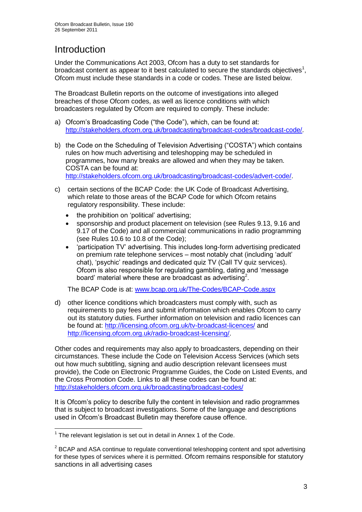# **Introduction**

Under the Communications Act 2003, Ofcom has a duty to set standards for broadcast content as appear to it best calculated to secure the standards objectives<sup>1</sup>, Ofcom must include these standards in a code or codes. These are listed below.

The Broadcast Bulletin reports on the outcome of investigations into alleged breaches of those Ofcom codes, as well as licence conditions with which broadcasters regulated by Ofcom are required to comply. These include:

- a) Ofcom"s Broadcasting Code ("the Code"), which, can be found at: [http://stakeholders.ofcom.org.uk/broadcasting/broadcast-codes/broadcast-code/.](http://stakeholders.ofcom.org.uk/broadcasting/broadcast-codes/broadcast-code/)
- b) the Code on the Scheduling of Television Advertising ("COSTA") which contains rules on how much advertising and teleshopping may be scheduled in programmes, how many breaks are allowed and when they may be taken. COSTA can be found at: [http://stakeholders.ofcom.org.uk/broadcasting/broadcast-codes/advert-code/.](http://stakeholders.ofcom.org.uk/broadcasting/broadcast-codes/advert-code/)

c) certain sections of the BCAP Code: the UK Code of Broadcast Advertising, which relate to those areas of the BCAP Code for which Ofcom retains regulatory responsibility. These include:

- the prohibition on "political" advertising;
- sponsorship and product placement on television (see Rules 9.13, 9.16 and 9.17 of the Code) and all commercial communications in radio programming (see Rules 10.6 to 10.8 of the Code);
- "participation TV" advertising. This includes long-form advertising predicated on premium rate telephone services – most notably chat (including "adult" chat), "psychic" readings and dedicated quiz TV (Call TV quiz services). Ofcom is also responsible for regulating gambling, dating and "message board' material where these are broadcast as advertising<sup>2</sup>.

The BCAP Code is at: [www.bcap.org.uk/The-Codes/BCAP-Code.aspx](http://www.bcap.org.uk/The-Codes/BCAP-Code.aspx)

d) other licence conditions which broadcasters must comply with, such as requirements to pay fees and submit information which enables Ofcom to carry out its statutory duties. Further information on television and radio licences can be found at:<http://licensing.ofcom.org.uk/tv-broadcast-licences/> and [http://licensing.ofcom.org.uk/radio-broadcast-licensing/.](http://licensing.ofcom.org.uk/radio-broadcast-licensing/)

Other codes and requirements may also apply to broadcasters, depending on their circumstances. These include the Code on Television Access Services (which sets out how much subtitling, signing and audio description relevant licensees must provide), the Code on Electronic Programme Guides, the Code on Listed Events, and the Cross Promotion Code. Links to all these codes can be found at: <http://stakeholders.ofcom.org.uk/broadcasting/broadcast-codes/>

It is Ofcom"s policy to describe fully the content in television and radio programmes that is subject to broadcast investigations. Some of the language and descriptions used in Ofcom"s Broadcast Bulletin may therefore cause offence.

<sup>1</sup>  $1$  The relevant legislation is set out in detail in Annex 1 of the Code.

 $2$  BCAP and ASA continue to regulate conventional teleshopping content and spot advertising for these types of services where it is permitted. Ofcom remains responsible for statutory sanctions in all advertising cases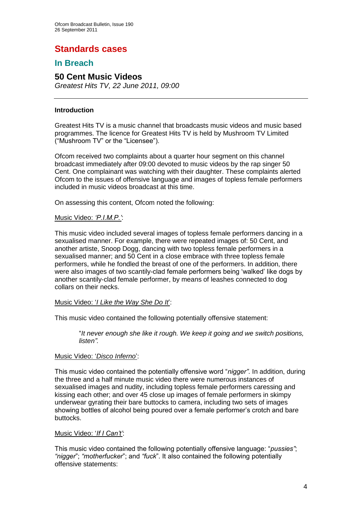# **Standards cases**

## **In Breach**

#### **50 Cent Music Videos** *Greatest Hits TV, 22 June 2011, 09:00*

#### **Introduction**

Greatest Hits TV is a music channel that broadcasts music videos and music based programmes. The licence for Greatest Hits TV is held by Mushroom TV Limited ("Mushroom TV" or the "Licensee").

Ofcom received two complaints about a quarter hour segment on this channel broadcast immediately after 09:00 devoted to music videos by the rap singer 50 Cent. One complainant was watching with their daughter. These complaints alerted Ofcom to the issues of offensive language and images of topless female performers included in music videos broadcast at this time.

On assessing this content, Ofcom noted the following:

#### Music Video: *"P.I.M.P."*:

This music video included several images of topless female performers dancing in a sexualised manner. For example, there were repeated images of: 50 Cent, and another artiste, Snoop Dogg, dancing with two topless female performers in a sexualised manner; and 50 Cent in a close embrace with three topless female performers, while he fondled the breast of one of the performers. In addition, there were also images of two scantily-clad female performers being "walked" like dogs by another scantily-clad female performer, by means of leashes connected to dog collars on their necks.

#### Music Video: '*I Like the Way She Do It*':

This music video contained the following potentially offensive statement:

"*It never enough she like it rough. We keep it going and we switch positions, listen".* 

#### Music Video: "*Disco Inferno*":

This music video contained the potentially offensive word "*nigger"*. In addition, during the three and a half minute music video there were numerous instances of sexualised images and nudity, including topless female performers caressing and kissing each other; and over 45 close up images of female performers in skimpy underwear gyrating their bare buttocks to camera, including two sets of images showing bottles of alcohol being poured over a female performer's crotch and bare buttocks.

#### Music Video: "*If I Can"t"*:

This music video contained the following potentially offensive language: "*pussies"*; *"nigger*"; *"motherfucker*"; and *"fuck*". It also contained the following potentially offensive statements: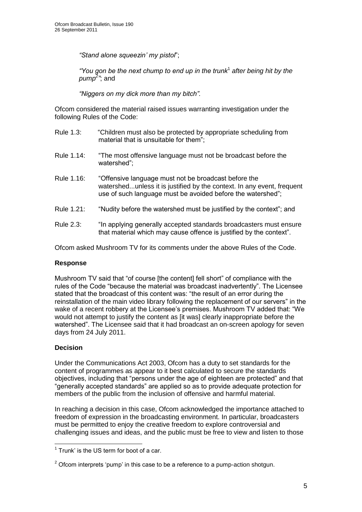*"Stand alone squeezin" my pistol*";

*"You gon be the next chump to end up in the trunk*<sup>1</sup> *after being hit by the pump<sup>2</sup> "*; and

*"Niggers on my dick more than my bitch".*

Ofcom considered the material raised issues warranting investigation under the following Rules of the Code:

| Rule 1.3: | "Children must also be protected by appropriate scheduling from |
|-----------|-----------------------------------------------------------------|
|           | material that is unsuitable for them";                          |
|           |                                                                 |

- Rule 1.14: "The most offensive language must not be broadcast before the watershed";
- Rule 1.16: "Offensive language must not be broadcast before the watershed...unless it is justified by the context. In any event, frequent use of such language must be avoided before the watershed";
- Rule 1.21: "Nudity before the watershed must be justified by the context"; and
- Rule 2.3: "In applying generally accepted standards broadcasters must ensure that material which may cause offence is justified by the context".

Ofcom asked Mushroom TV for its comments under the above Rules of the Code.

#### **Response**

Mushroom TV said that "of course [the content] fell short" of compliance with the rules of the Code "because the material was broadcast inadvertently". The Licensee stated that the broadcast of this content was: "the result of an error during the reinstallation of the main video library following the replacement of our servers" in the wake of a recent robbery at the Licensee's premises. Mushroom TV added that: "We would not attempt to justify the content as [it was] clearly inappropriate before the watershed". The Licensee said that it had broadcast an on-screen apology for seven days from 24 July 2011.

#### **Decision**

1

Under the Communications Act 2003, Ofcom has a duty to set standards for the content of programmes as appear to it best calculated to secure the standards objectives, including that "persons under the age of eighteen are protected" and that "generally accepted standards" are applied so as to provide adequate protection for members of the public from the inclusion of offensive and harmful material.

In reaching a decision in this case, Ofcom acknowledged the importance attached to freedom of expression in the broadcasting environment. In particular, broadcasters must be permitted to enjoy the creative freedom to explore controversial and challenging issues and ideas, and the public must be free to view and listen to those

 $1$  Trunk' is the US term for boot of a car.

 $2$  Ofcom interprets 'pump' in this case to be a reference to a pump-action shotgun.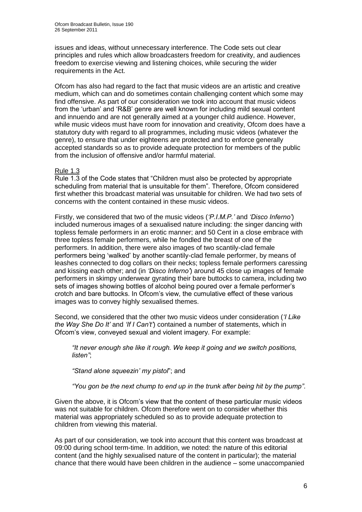issues and ideas, without unnecessary interference. The Code sets out clear principles and rules which allow broadcasters freedom for creativity, and audiences freedom to exercise viewing and listening choices, while securing the wider requirements in the Act.

Ofcom has also had regard to the fact that music videos are an artistic and creative medium, which can and do sometimes contain challenging content which some may find offensive. As part of our consideration we took into account that music videos from the "urban" and "R&B" genre are well known for including mild sexual content and innuendo and are not generally aimed at a younger child audience. However, while music videos must have room for innovation and creativity, Ofcom does have a statutory duty with regard to all programmes, including music videos (whatever the genre), to ensure that under eighteens are protected and to enforce generally accepted standards so as to provide adequate protection for members of the public from the inclusion of offensive and/or harmful material.

#### Rule 1.3

Rule 1.3 of the Code states that "Children must also be protected by appropriate scheduling from material that is unsuitable for them". Therefore, Ofcom considered first whether this broadcast material was unsuitable for children. We had two sets of concerns with the content contained in these music videos.

Firstly, we considered that two of the music videos (*"P.I.M.P."* and *"Disco Inferno"*) included numerous images of a sexualised nature including: the singer dancing with topless female performers in an erotic manner; and 50 Cent in a close embrace with three topless female performers, while he fondled the breast of one of the performers. In addition, there were also images of two scantily-clad female performers being "walked" by another scantily-clad female performer, by means of leashes connected to dog collars on their necks; topless female performers caressing and kissing each other; and (in *"Disco Inferno"*) around 45 close up images of female performers in skimpy underwear gyrating their bare buttocks to camera, including two sets of images showing bottles of alcohol being poured over a female performer's crotch and bare buttocks. In Ofcom"s view, the cumulative effect of these various images was to convey highly sexualised themes.

Second, we considered that the other two music videos under consideration (*"I Like the Way She Do It"* and *"If I Can"t"*) contained a number of statements, which in Ofcom"s view, conveyed sexual and violent imagery. For example:

*"It never enough she like it rough. We keep it going and we switch positions, listen"*;

*"Stand alone squeezin" my pistol*"; and

*"You gon be the next chump to end up in the trunk after being hit by the pump"*.

Given the above, it is Ofcom"s view that the content of these particular music videos was not suitable for children. Ofcom therefore went on to consider whether this material was appropriately scheduled so as to provide adequate protection to children from viewing this material.

As part of our consideration, we took into account that this content was broadcast at 09:00 during school term-time. In addition, we noted: the nature of this editorial content (and the highly sexualised nature of the content in particular); the material chance that there would have been children in the audience – some unaccompanied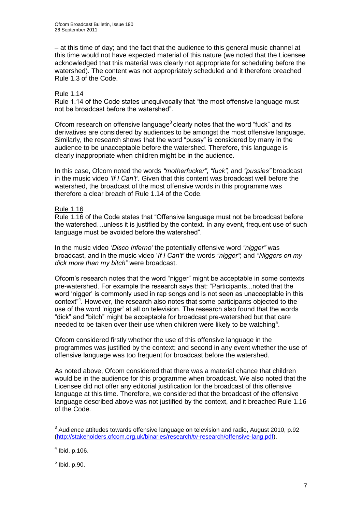– at this time of day; and the fact that the audience to this general music channel at this time would not have expected material of this nature (we noted that the Licensee acknowledged that this material was clearly not appropriate for scheduling before the watershed). The content was not appropriately scheduled and it therefore breached Rule 1.3 of the Code.

#### Rule 1.14

Rule 1.14 of the Code states unequivocally that "the most offensive language must not be broadcast before the watershed".

Ofcom research on offensive language<sup>3</sup> clearly notes that the word "fuck" and its derivatives are considered by audiences to be amongst the most offensive language. Similarly, the research shows that the word "pussy" is considered by many in the audience to be unacceptable before the watershed. Therefore, this language is clearly inappropriate when children might be in the audience.

In this case, Ofcom noted the words *"motherfucker"*, *"fuck",* and *"pussies"* broadcast in the music video *"If I Can"t".* Given that this content was broadcast well before the watershed, the broadcast of the most offensive words in this programme was therefore a clear breach of Rule 1.14 of the Code.

#### Rule 1.16

Rule 1.16 of the Code states that "Offensive language must not be broadcast before the watershed…unless it is justified by the context. In any event, frequent use of such language must be avoided before the watershed".

In the music video *"Disco Inferno"* the potentially offensive word *"nigger"* was broadcast, and in the music video "*If I Can"t"* the words *"nigger"*; and *"Niggers on my dick more than my bitch"* were broadcast.

Ofcom"s research notes that the word "nigger" might be acceptable in some contexts pre-watershed. For example the research says that: "Participants...noted that the word 'nigger' is commonly used in rap songs and is not seen as unacceptable in this context<sup>"4</sup>. However, the research also notes that some participants objected to the use of the word "nigger" at all on television. The research also found that the words "dick" and "bitch" might be acceptable for broadcast pre-watershed but that care needed to be taken over their use when children were likely to be watching<sup>5</sup>.

Ofcom considered firstly whether the use of this offensive language in the programmes was justified by the context; and second in any event whether the use of offensive language was too frequent for broadcast before the watershed.

As noted above, Ofcom considered that there was a material chance that children would be in the audience for this programme when broadcast. We also noted that the Licensee did not offer any editorial justification for the broadcast of this offensive language at this time. Therefore, we considered that the broadcast of the offensive language described above was not justified by the context, and it breached Rule 1.16 of the Code.

1

 $3$  Audience attitudes towards offensive language on television and radio, August 2010, p.92 [\(http://stakeholders.ofcom.org.uk/binaries/research/tv-research/offensive-lang.pdf\)](http://stakeholders.ofcom.org.uk/binaries/research/tv-research/offensive-lang.pdf).

 $<sup>4</sup>$  Ibid, p.106.</sup>

 $<sup>5</sup>$  Ibid, p.90.</sup>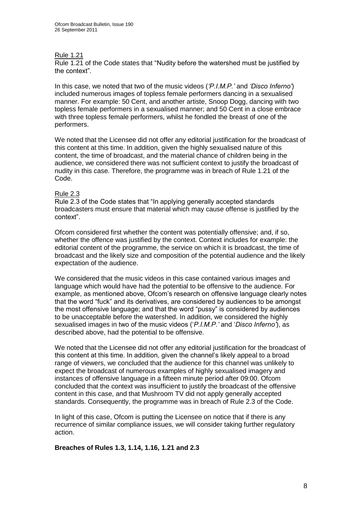#### Rule 1.21

Rule 1.21 of the Code states that "Nudity before the watershed must be justified by the context".

In this case, we noted that two of the music videos (*"P.I.M.P."* and *"Disco Inferno"*) included numerous images of topless female performers dancing in a sexualised manner. For example: 50 Cent, and another artiste, Snoop Dogg, dancing with two topless female performers in a sexualised manner; and 50 Cent in a close embrace with three topless female performers, whilst he fondled the breast of one of the performers.

We noted that the Licensee did not offer any editorial justification for the broadcast of this content at this time. In addition, given the highly sexualised nature of this content, the time of broadcast, and the material chance of children being in the audience, we considered there was not sufficient context to justify the broadcast of nudity in this case. Therefore, the programme was in breach of Rule 1.21 of the Code.

#### Rule 2.3

Rule 2.3 of the Code states that "In applying generally accepted standards broadcasters must ensure that material which may cause offense is justified by the context".

Ofcom considered first whether the content was potentially offensive; and, if so, whether the offence was justified by the context. Context includes for example: the editorial content of the programme, the service on which it is broadcast, the time of broadcast and the likely size and composition of the potential audience and the likely expectation of the audience.

We considered that the music videos in this case contained various images and language which would have had the potential to be offensive to the audience. For example, as mentioned above, Ofcom"s research on offensive language clearly notes that the word "fuck" and its derivatives, are considered by audiences to be amongst the most offensive language; and that the word "pussy" is considered by audiences to be unacceptable before the watershed. In addition, we considered the highly sexualised images in two of the music videos ("*P.I.M.P."* and "*Disco Inferno"*), as described above, had the potential to be offensive.

We noted that the Licensee did not offer any editorial justification for the broadcast of this content at this time. In addition, given the channel"s likely appeal to a broad range of viewers, we concluded that the audience for this channel was unlikely to expect the broadcast of numerous examples of highly sexualised imagery and instances of offensive language in a fifteen minute period after 09:00. Ofcom concluded that the context was insufficient to justify the broadcast of the offensive content in this case, and that Mushroom TV did not apply generally accepted standards. Consequently, the programme was in breach of Rule 2.3 of the Code.

In light of this case, Ofcom is putting the Licensee on notice that if there is any recurrence of similar compliance issues, we will consider taking further regulatory action.

#### **Breaches of Rules 1.3, 1.14, 1.16, 1.21 and 2.3**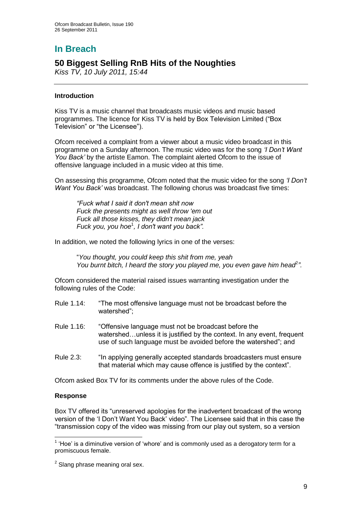# **In Breach**

## **50 Biggest Selling RnB Hits of the Noughties**

*Kiss TV, 10 July 2011, 15:44*

#### **Introduction**

Kiss TV is a music channel that broadcasts music videos and music based programmes. The licence for Kiss TV is held by Box Television Limited ("Box Television" or "the Licensee").

Ofcom received a complaint from a viewer about a music video broadcast in this programme on a Sunday afternoon. The music video was for the song *"I Don"t Want You Back"* by the artiste Eamon. The complaint alerted Ofcom to the issue of offensive language included in a music video at this time.

On assessing this programme, Ofcom noted that the music video for the song *"I Don"t Want You Back"* was broadcast. The following chorus was broadcast five times:

*"Fuck what I said it don't mean shit now Fuck the presents might as well throw 'em out Fuck all those kisses, they didn't mean jack Fuck you, you hoe*<sup>1</sup> *, I don't want you back".*

In addition, we noted the following lyrics in one of the verses:

"*You thought, you could keep this shit from me, yeah You burnt bitch, I heard the story you played me, you even gave him head<sup>2</sup>"*.

Ofcom considered the material raised issues warranting investigation under the following rules of the Code:

- Rule 1.14: "The most offensive language must not be broadcast before the watershed";
- Rule 1.16: "Offensive language must not be broadcast before the watershed…unless it is justified by the context. In any event, frequent use of such language must be avoided before the watershed"; and
- Rule 2.3: "In applying generally accepted standards broadcasters must ensure that material which may cause offence is justified by the context".

Ofcom asked Box TV for its comments under the above rules of the Code.

#### **Response**

1

Box TV offered its "unreserved apologies for the inadvertent broadcast of the wrong version of the "I Don"t Want You Back" video". The Licensee said that in this case the "transmission copy of the video was missing from our play out system, so a version

 $<sup>1</sup>$  'Hoe' is a diminutive version of 'whore' and is commonly used as a derogatory term for a</sup> promiscuous female.

 $2$  Slang phrase meaning oral sex.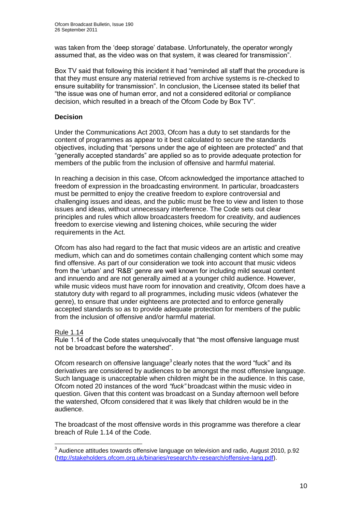was taken from the "deep storage" database. Unfortunately, the operator wrongly assumed that, as the video was on that system, it was cleared for transmission".

Box TV said that following this incident it had "reminded all staff that the procedure is that they must ensure any material retrieved from archive systems is re-checked to ensure suitability for transmission". In conclusion, the Licensee stated its belief that "the issue was one of human error, and not a considered editorial or compliance decision, which resulted in a breach of the Ofcom Code by Box TV".

#### **Decision**

Under the Communications Act 2003, Ofcom has a duty to set standards for the content of programmes as appear to it best calculated to secure the standards objectives, including that "persons under the age of eighteen are protected" and that "generally accepted standards" are applied so as to provide adequate protection for members of the public from the inclusion of offensive and harmful material.

In reaching a decision in this case, Ofcom acknowledged the importance attached to freedom of expression in the broadcasting environment. In particular, broadcasters must be permitted to enjoy the creative freedom to explore controversial and challenging issues and ideas, and the public must be free to view and listen to those issues and ideas, without unnecessary interference. The Code sets out clear principles and rules which allow broadcasters freedom for creativity, and audiences freedom to exercise viewing and listening choices, while securing the wider requirements in the Act.

Ofcom has also had regard to the fact that music videos are an artistic and creative medium, which can and do sometimes contain challenging content which some may find offensive. As part of our consideration we took into account that music videos from the "urban" and "R&B" genre are well known for including mild sexual content and innuendo and are not generally aimed at a younger child audience. However, while music videos must have room for innovation and creativity, Ofcom does have a statutory duty with regard to all programmes, including music videos (whatever the genre), to ensure that under eighteens are protected and to enforce generally accepted standards so as to provide adequate protection for members of the public from the inclusion of offensive and/or harmful material.

#### Rule 1.14

1

Rule 1.14 of the Code states unequivocally that "the most offensive language must not be broadcast before the watershed".

Ofcom research on offensive language $3$  clearly notes that the word "fuck" and its derivatives are considered by audiences to be amongst the most offensive language. Such language is unacceptable when children might be in the audience. In this case, Ofcom noted 20 instances of the word *"fuck"* broadcast within the music video in question. Given that this content was broadcast on a Sunday afternoon well before the watershed, Ofcom considered that it was likely that children would be in the audience.

The broadcast of the most offensive words in this programme was therefore a clear breach of Rule 1.14 of the Code.

 $3$  Audience attitudes towards offensive language on television and radio, August 2010, p.92 [\(http://stakeholders.ofcom.org.uk/binaries/research/tv-research/offensive-lang.pdf\)](http://stakeholders.ofcom.org.uk/binaries/research/tv-research/offensive-lang.pdf).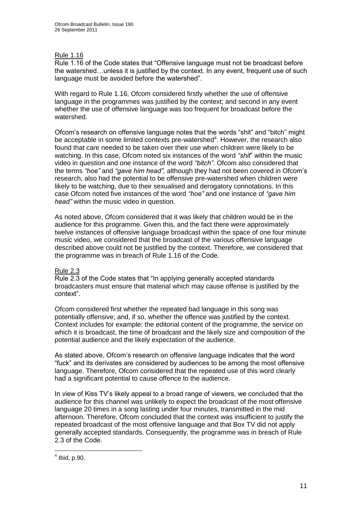#### Rule 1.16

Rule 1.16 of the Code states that "Offensive language must not be broadcast before the watershed…unless it is justified by the context. In any event, frequent use of such language must be avoided before the watershed".

With regard to Rule 1.16, Ofcom considered firstly whether the use of offensive language in the programmes was justified by the context; and second in any event whether the use of offensive language was too frequent for broadcast before the watershed.

Ofcom"s research on offensive language notes that the words "shit" and "bitch" might be acceptable in some limited contexts pre-watershed<sup>4</sup>. However, the research also found that care needed to be taken over their use when children were likely to be watching. In this case, Ofcom noted six instances of the word *"shit*" within the music video in question and one instance of the word *"bitch"*. Ofcom also considered that the terms *"hoe"* and *"gave him head",* although they had not been covered in Ofcom"s research, also had the potential to be offensive pre-watershed when children were likely to be watching, due to their sexualised and derogatory connotations. In this case Ofcom noted five instances of the word *"hoe"* and one instance of *"gave him head"* within the music video in question.

As noted above, Ofcom considered that it was likely that children would be in the audience for this programme. Given this, and the fact there were approximately twelve instances of offensive language broadcast within the space of one four minute music video, we considered that the broadcast of the various offensive language described above could not be justified by the context. Therefore, we considered that the programme was in breach of Rule 1.16 of the Code.

#### Rule 2.3

Rule 2.3 of the Code states that "In applying generally accepted standards broadcasters must ensure that material which may cause offense is justified by the context".

Ofcom considered first whether the repeated bad language in this song was potentially offensive; and, if so, whether the offence was justified by the context. Context includes for example: the editorial content of the programme, the service on which it is broadcast, the time of broadcast and the likely size and composition of the potential audience and the likely expectation of the audience.

As stated above, Ofcom"s research on offensive language indicates that the word "fuck" and its derivates are considered by audiences to be among the most offensive language. Therefore, Ofcom considered that the repeated use of this word clearly had a significant potential to cause offence to the audience.

In view of Kiss TV"s likely appeal to a broad range of viewers, we concluded that the audience for this channel was unlikely to expect the broadcast of the most offensive language 20 times in a song lasting under four minutes, transmitted in the mid afternoon. Therefore, Ofcom concluded that the context was insufficient to justify the repeated broadcast of the most offensive language and that Box TV did not apply generally accepted standards. Consequently, the programme was in breach of Rule 2.3 of the Code.

 4 Ibid, p.90.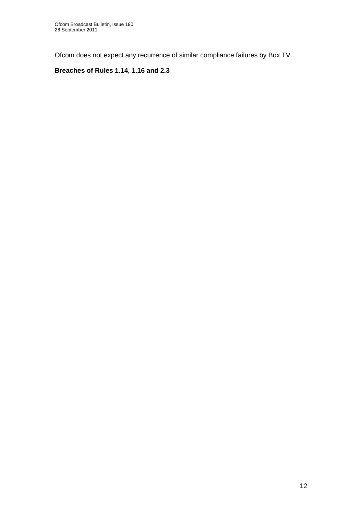Ofcom does not expect any recurrence of similar compliance failures by Box TV.

## **Breaches of Rules 1.14, 1.16 and 2.3**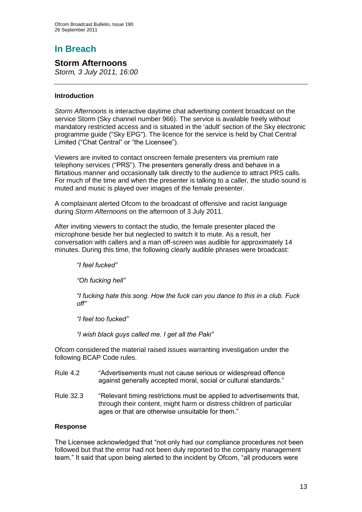# **In Breach**

## **Storm Afternoons**

*Storm, 3 July 2011, 16:00*

#### **Introduction**

*Storm Afternoons* is interactive daytime chat advertising content broadcast on the service Storm (Sky channel number 966). The service is available freely without mandatory restricted access and is situated in the 'adult' section of the Sky electronic programme guide ("Sky EPG"). The licence for the service is held by Chat Central Limited ("Chat Central" or "the Licensee").

Viewers are invited to contact onscreen female presenters via premium rate telephony services ("PRS"). The presenters generally dress and behave in a flirtatious manner and occasionally talk directly to the audience to attract PRS calls. For much of the time and when the presenter is talking to a caller, the studio sound is muted and music is played over images of the female presenter.

A complainant alerted Ofcom to the broadcast of offensive and racist language during *Storm Afternoons* on the afternoon of 3 July 2011.

After inviting viewers to contact the studio, the female presenter placed the microphone beside her but neglected to switch it to mute. As a result, her conversation with callers and a man off-screen was audible for approximately 14 minutes. During this time, the following clearly audible phrases were broadcast:

*"I feel fucked"*

*"Oh fucking hell"*

*"I fucking hate this song. How the fuck can you dance to this in a club. Fuck off"* 

*"I feel too fucked"*

*"I wish black guys called me. I get all the Paki"*

Ofcom considered the material raised issues warranting investigation under the following BCAP Code rules.

- Rule 4.2 "Advertisements must not cause serious or widespread offence against generally accepted moral, social or cultural standards."
- Rule 32.3 "Relevant timing restrictions must be applied to advertisements that, through their content, might harm or distress children of particular ages or that are otherwise unsuitable for them."

#### **Response**

The Licensee acknowledged that "not only had our compliance procedures not been followed but that the error had not been duly reported to the company management team." It said that upon being alerted to the incident by Ofcom, "all producers were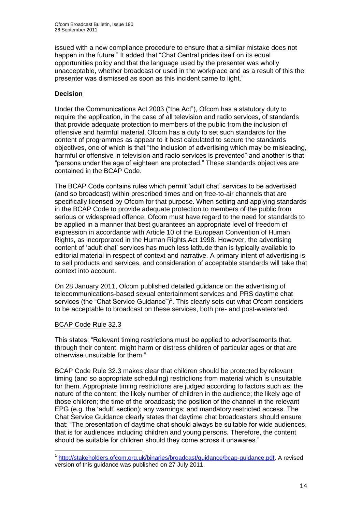issued with a new compliance procedure to ensure that a similar mistake does not happen in the future." It added that "Chat Central prides itself on its equal opportunities policy and that the language used by the presenter was wholly unacceptable, whether broadcast or used in the workplace and as a result of this the presenter was dismissed as soon as this incident came to light."

#### **Decision**

Under the Communications Act 2003 ("the Act"), Ofcom has a statutory duty to require the application, in the case of all television and radio services, of standards that provide adequate protection to members of the public from the inclusion of offensive and harmful material. Ofcom has a duty to set such standards for the content of programmes as appear to it best calculated to secure the standards objectives, one of which is that "the inclusion of advertising which may be misleading, harmful or offensive in television and radio services is prevented" and another is that "persons under the age of eighteen are protected." These standards objectives are contained in the BCAP Code.

The BCAP Code contains rules which permit "adult chat" services to be advertised (and so broadcast) within prescribed times and on free-to-air channels that are specifically licensed by Ofcom for that purpose. When setting and applying standards in the BCAP Code to provide adequate protection to members of the public from serious or widespread offence, Ofcom must have regard to the need for standards to be applied in a manner that best guarantees an appropriate level of freedom of expression in accordance with Article 10 of the European Convention of Human Rights, as incorporated in the Human Rights Act 1998. However, the advertising content of "adult chat" services has much less latitude than is typically available to editorial material in respect of context and narrative. A primary intent of advertising is to sell products and services, and consideration of acceptable standards will take that context into account.

On 28 January 2011, Ofcom published detailed guidance on the advertising of telecommunications-based sexual entertainment services and PRS daytime chat services (the "Chat Service Guidance")<sup>1</sup>. This clearly sets out what Ofcom considers to be acceptable to broadcast on these services, both pre- and post-watershed.

#### BCAP Code Rule 32.3

1

This states: "Relevant timing restrictions must be applied to advertisements that, through their content, might harm or distress children of particular ages or that are otherwise unsuitable for them."

BCAP Code Rule 32.3 makes clear that children should be protected by relevant timing (and so appropriate scheduling) restrictions from material which is unsuitable for them. Appropriate timing restrictions are judged according to factors such as: the nature of the content; the likely number of children in the audience; the likely age of those children; the time of the broadcast; the position of the channel in the relevant EPG (e.g. the "adult" section); any warnings; and mandatory restricted access. The Chat Service Guidance clearly states that daytime chat broadcasters should ensure that: "The presentation of daytime chat should always be suitable for wide audiences, that is for audiences including children and young persons. Therefore, the content should be suitable for children should they come across it unawares."

<sup>&</sup>lt;sup>1</sup> [http://stakeholders.ofcom.org.uk/binaries/broadcast/guidance/bcap-guidance.pdf.](http://stakeholders.ofcom.org.uk/binaries/broadcast/guidance/bcap-guidance.pdf) A revised version of this guidance was published on 27 July 2011.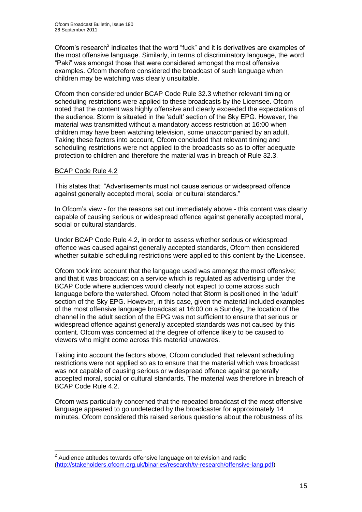Ofcom's research<sup>2</sup> indicates that the word "fuck" and it is derivatives are examples of the most offensive language. Similarly, in terms of discriminatory language, the word "Paki" was amongst those that were considered amongst the most offensive examples. Ofcom therefore considered the broadcast of such language when children may be watching was clearly unsuitable.

Ofcom then considered under BCAP Code Rule 32.3 whether relevant timing or scheduling restrictions were applied to these broadcasts by the Licensee. Ofcom noted that the content was highly offensive and clearly exceeded the expectations of the audience. Storm is situated in the "adult" section of the Sky EPG. However, the material was transmitted without a mandatory access restriction at 16:00 when children may have been watching television, some unaccompanied by an adult. Taking these factors into account, Ofcom concluded that relevant timing and scheduling restrictions were not applied to the broadcasts so as to offer adequate protection to children and therefore the material was in breach of Rule 32.3.

#### BCAP Code Rule 4.2

1

This states that: "Advertisements must not cause serious or widespread offence against generally accepted moral, social or cultural standards."

In Ofcom's view - for the reasons set out immediately above - this content was clearly capable of causing serious or widespread offence against generally accepted moral, social or cultural standards.

Under BCAP Code Rule 4.2, in order to assess whether serious or widespread offence was caused against generally accepted standards, Ofcom then considered whether suitable scheduling restrictions were applied to this content by the Licensee.

Ofcom took into account that the language used was amongst the most offensive; and that it was broadcast on a service which is regulated as advertising under the BCAP Code where audiences would clearly not expect to come across such language before the watershed. Ofcom noted that Storm is positioned in the 'adult' section of the Sky EPG. However, in this case, given the material included examples of the most offensive language broadcast at 16:00 on a Sunday, the location of the channel in the adult section of the EPG was not sufficient to ensure that serious or widespread offence against generally accepted standards was not caused by this content. Ofcom was concerned at the degree of offence likely to be caused to viewers who might come across this material unawares.

Taking into account the factors above, Ofcom concluded that relevant scheduling restrictions were not applied so as to ensure that the material which was broadcast was not capable of causing serious or widespread offence against generally accepted moral, social or cultural standards. The material was therefore in breach of BCAP Code Rule 4.2.

Ofcom was particularly concerned that the repeated broadcast of the most offensive language appeared to go undetected by the broadcaster for approximately 14 minutes. Ofcom considered this raised serious questions about the robustness of its

 $2$  Audience attitudes towards offensive language on television and radio [\(http://stakeholders.ofcom.org.uk/binaries/research/tv-research/offensive-lang.pdf\)](http://stakeholders.ofcom.org.uk/binaries/research/tv-research/offensive-lang.pdf)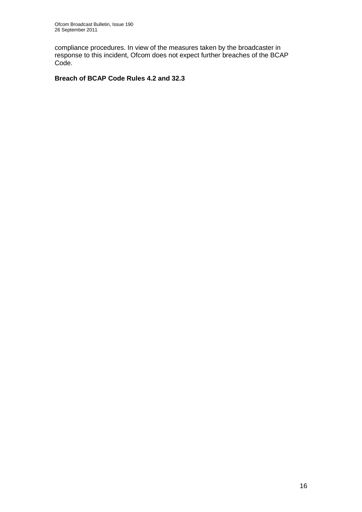compliance procedures. In view of the measures taken by the broadcaster in response to this incident, Ofcom does not expect further breaches of the BCAP Code.

### **Breach of BCAP Code Rules 4.2 and 32.3**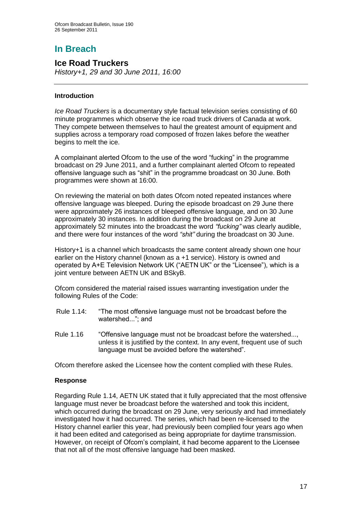# **In Breach**

## **Ice Road Truckers**

*History+1, 29 and 30 June 2011, 16:00*

#### **Introduction**

*Ice Road Truckers* is a documentary style factual television series consisting of 60 minute programmes which observe the ice road truck drivers of Canada at work. They compete between themselves to haul the greatest amount of equipment and supplies across a temporary road composed of frozen lakes before the weather begins to melt the ice.

A complainant alerted Ofcom to the use of the word "fucking" in the programme broadcast on 29 June 2011, and a further complainant alerted Ofcom to repeated offensive language such as "shit" in the programme broadcast on 30 June. Both programmes were shown at 16:00.

On reviewing the material on both dates Ofcom noted repeated instances where offensive language was bleeped. During the episode broadcast on 29 June there were approximately 26 instances of bleeped offensive language, and on 30 June approximately 30 instances. In addition during the broadcast on 29 June at approximately 52 minutes into the broadcast the word *"fucking"* was clearly audible, and there were four instances of the word *"shit"* during the broadcast on 30 June.

History+1 is a channel which broadcasts the same content already shown one hour earlier on the History channel (known as a +1 service). History is owned and operated by A+E Television Network UK ("AETN UK" or the "Licensee"), which is a joint venture between AETN UK and BSkyB.

Ofcom considered the material raised issues warranting investigation under the following Rules of the Code:

- Rule 1.14: "The most offensive language must not be broadcast before the watershed..."; and
- Rule 1.16 "Offensive language must not be broadcast before the watershed..., unless it is justified by the context. In any event, frequent use of such language must be avoided before the watershed".

Ofcom therefore asked the Licensee how the content complied with these Rules.

#### **Response**

Regarding Rule 1.14, AETN UK stated that it fully appreciated that the most offensive language must never be broadcast before the watershed and took this incident, which occurred during the broadcast on 29 June, very seriously and had immediately investigated how it had occurred. The series, which had been re-licensed to the History channel earlier this year, had previously been complied four years ago when it had been edited and categorised as being appropriate for daytime transmission. However, on receipt of Ofcom"s complaint, it had become apparent to the Licensee that not all of the most offensive language had been masked.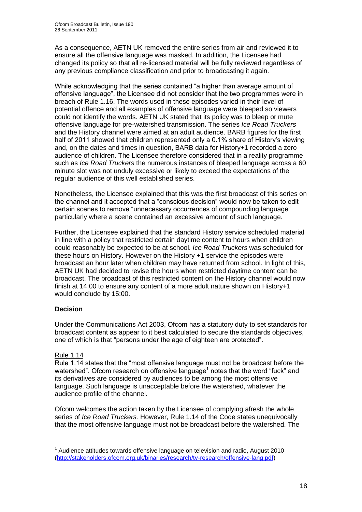As a consequence, AETN UK removed the entire series from air and reviewed it to ensure all the offensive language was masked. In addition, the Licensee had changed its policy so that all re-licensed material will be fully reviewed regardless of any previous compliance classification and prior to broadcasting it again.

While acknowledging that the series contained "a higher than average amount of offensive language", the Licensee did not consider that the two programmes were in breach of Rule 1.16. The words used in these episodes varied in their level of potential offence and all examples of offensive language were bleeped so viewers could not identify the words. AETN UK stated that its policy was to bleep or mute offensive language for pre-watershed transmission. The series *Ice Road Truckers*  and the History channel were aimed at an adult audience. BARB figures for the first half of 2011 showed that children represented only a 0.1% share of History"s viewing and, on the dates and times in question, BARB data for History+1 recorded a zero audience of children. The Licensee therefore considered that in a reality programme such as *Ice Road Truckers* the numerous instances of bleeped language across a 60 minute slot was not unduly excessive or likely to exceed the expectations of the regular audience of this well established series.

Nonetheless, the Licensee explained that this was the first broadcast of this series on the channel and it accepted that a "conscious decision" would now be taken to edit certain scenes to remove "unnecessary occurrences of compounding language" particularly where a scene contained an excessive amount of such language.

Further, the Licensee explained that the standard History service scheduled material in line with a policy that restricted certain daytime content to hours when children could reasonably be expected to be at school. *Ice Road Truckers* was scheduled for these hours on History. However on the History +1 service the episodes were broadcast an hour later when children may have returned from school. In light of this, AETN UK had decided to revise the hours when restricted daytime content can be broadcast. The broadcast of this restricted content on the History channel would now finish at 14:00 to ensure any content of a more adult nature shown on History+1 would conclude by 15:00.

#### **Decision**

Under the Communications Act 2003, Ofcom has a statutory duty to set standards for broadcast content as appear to it best calculated to secure the standards objectives, one of which is that "persons under the age of eighteen are protected".

#### Rule 1.14

1

Rule 1.14 states that the "most offensive language must not be broadcast before the watershed". Ofcom research on offensive language<sup>1</sup> notes that the word "fuck" and its derivatives are considered by audiences to be among the most offensive language. Such language is unacceptable before the watershed, whatever the audience profile of the channel.

Ofcom welcomes the action taken by the Licensee of complying afresh the whole series of *Ice Road Truckers.* However, Rule 1.14 of the Code states unequivocally that the most offensive language must not be broadcast before the watershed. The

 $1$  Audience attitudes towards offensive language on television and radio, August 2010 [\(http://stakeholders.ofcom.org.uk/binaries/research/tv-research/offensive-lang.pdf\)](http://stakeholders.ofcom.org.uk/binaries/research/tv-research/offensive-lang.pdf)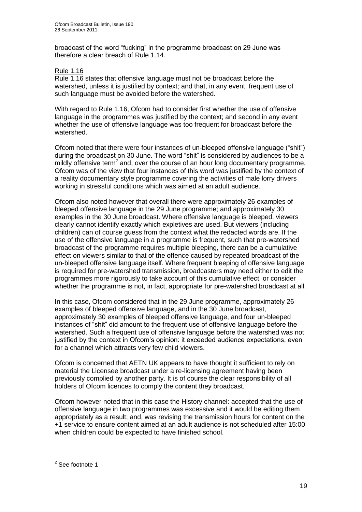broadcast of the word "fucking" in the programme broadcast on 29 June was therefore a clear breach of Rule 1.14.

#### Rule 1.16

Rule 1.16 states that offensive language must not be broadcast before the watershed, unless it is justified by context; and that, in any event, frequent use of such language must be avoided before the watershed.

With regard to Rule 1.16, Ofcom had to consider first whether the use of offensive language in the programmes was justified by the context; and second in any event whether the use of offensive language was too frequent for broadcast before the watershed.

Ofcom noted that there were four instances of un-bleeped offensive language ("shit") during the broadcast on 30 June. The word "shit" is considered by audiences to be a mildly offensive term<sup>2</sup> and, over the course of an hour long documentary programme, Ofcom was of the view that four instances of this word was justified by the context of a reality documentary style programme covering the activities of male lorry drivers working in stressful conditions which was aimed at an adult audience.

Ofcom also noted however that overall there were approximately 26 examples of bleeped offensive language in the 29 June programme; and approximately 30 examples in the 30 June broadcast. Where offensive language is bleeped, viewers clearly cannot identify exactly which expletives are used. But viewers (including children) can of course guess from the context what the redacted words are. If the use of the offensive language in a programme is frequent, such that pre-watershed broadcast of the programme requires multiple bleeping, there can be a cumulative effect on viewers similar to that of the offence caused by repeated broadcast of the un-bleeped offensive language itself. Where frequent bleeping of offensive language is required for pre-watershed transmission, broadcasters may need either to edit the programmes more rigorously to take account of this cumulative effect, or consider whether the programme is not, in fact, appropriate for pre-watershed broadcast at all.

In this case, Ofcom considered that in the 29 June programme, approximately 26 examples of bleeped offensive language, and in the 30 June broadcast, approximately 30 examples of bleeped offensive language, and four un-bleeped instances of "shit" did amount to the frequent use of offensive language before the watershed. Such a frequent use of offensive language before the watershed was not justified by the context in Ofcom"s opinion: it exceeded audience expectations, even for a channel which attracts very few child viewers.

Ofcom is concerned that AETN UK appears to have thought it sufficient to rely on material the Licensee broadcast under a re-licensing agreement having been previously complied by another party. It is of course the clear responsibility of all holders of Ofcom licences to comply the content they broadcast.

Ofcom however noted that in this case the History channel: accepted that the use of offensive language in two programmes was excessive and it would be editing them appropriately as a result; and, was revising the transmission hours for content on the +1 service to ensure content aimed at an adult audience is not scheduled after 15:00 when children could be expected to have finished school.

 2 See footnote 1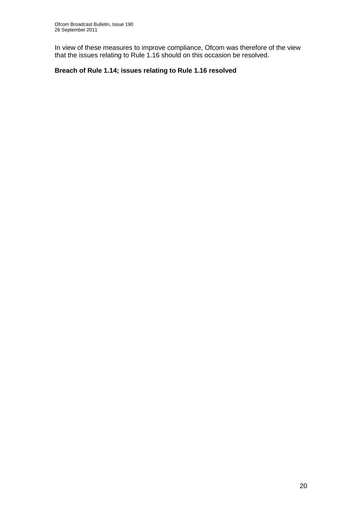In view of these measures to improve compliance, Ofcom was therefore of the view that the issues relating to Rule 1.16 should on this occasion be resolved.

## **Breach of Rule 1.14; issues relating to Rule 1.16 resolved**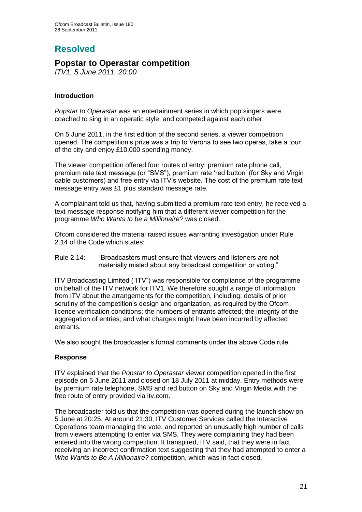# **Resolved**

## **Popstar to Operastar competition**

*ITV1, 5 June 2011, 20:00*

#### **Introduction**

*Popstar to Operastar* was an entertainment series in which pop singers were coached to sing in an operatic style, and competed against each other.

On 5 June 2011, in the first edition of the second series, a viewer competition opened. The competition"s prize was a trip to Verona to see two operas, take a tour of the city and enjoy £10,000 spending money.

The viewer competition offered four routes of entry: premium rate phone call, premium rate text message (or "SMS"), premium rate "red button" (for Sky and Virgin cable customers) and free entry via ITV"s website. The cost of the premium rate text message entry was £1 plus standard message rate.

A complainant told us that, having submitted a premium rate text entry, he received a text message response notifying him that a different viewer competition for the programme *Who Wants to be a Millionaire?* was closed.

Ofcom considered the material raised issues warranting investigation under Rule 2.14 of the Code which states:

Rule 2.14: "Broadcasters must ensure that viewers and listeners are not materially misled about any broadcast competition or voting."

ITV Broadcasting Limited ("ITV") was responsible for compliance of the programme on behalf of the ITV network for ITV1. We therefore sought a range of information from ITV about the arrangements for the competition, including: details of prior scrutiny of the competition"s design and organization, as required by the Ofcom licence verification conditions; the numbers of entrants affected; the integrity of the aggregation of entries; and what charges might have been incurred by affected entrants.

We also sought the broadcaster's formal comments under the above Code rule.

#### **Response**

ITV explained that the *Popstar to Operastar* viewer competition opened in the first episode on 5 June 2011 and closed on 18 July 2011 at midday. Entry methods were by premium rate telephone, SMS and red button on Sky and Virgin Media with the free route of entry provided via itv.com.

The broadcaster told us that the competition was opened during the launch show on 5 June at 20:25. At around 21:30, ITV Customer Services called the Interactive Operations team managing the vote, and reported an unusually high number of calls from viewers attempting to enter via SMS. They were complaining they had been entered into the wrong competition. It transpired, ITV said, that they were in fact receiving an incorrect confirmation text suggesting that they had attempted to enter a *Who Wants to Be A Millionaire?* competition, which was in fact closed.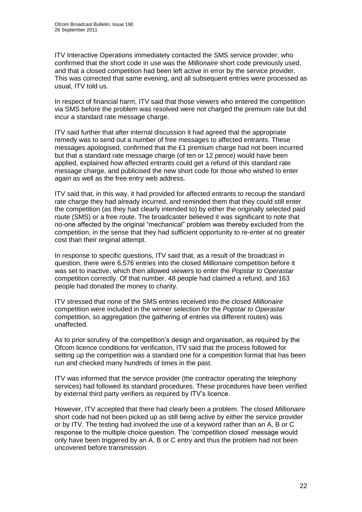ITV Interactive Operations immediately contacted the SMS service provider, who confirmed that the short code in use was the *Millionaire* short code previously used, and that a closed competition had been left active in error by the service provider. This was corrected that same evening, and all subsequent entries were processed as usual, ITV told us.

In respect of financial harm, ITV said that those viewers who entered the competition via SMS before the problem was resolved were not charged the premium rate but did incur a standard rate message charge.

ITV said further that after internal discussion it had agreed that the appropriate remedy was to send out a number of free messages to affected entrants. These messages apologised, confirmed that the £1 premium charge had not been incurred but that a standard rate message charge (of ten or 12 pence) would have been applied, explained how affected entrants could get a refund of this standard rate message charge, and publicised the new short code for those who wished to enter again as well as the free entry web address.

ITV said that, in this way, it had provided for affected entrants to recoup the standard rate charge they had already incurred, and reminded them that they could still enter the competition (as they had clearly intended to) by either the originally selected paid route (SMS) or a free route. The broadcaster believed it was significant to note that no-one affected by the original "mechanical" problem was thereby excluded from the competition, in the sense that they had sufficient opportunity to re-enter at no greater cost than their original attempt.

In response to specific questions, ITV said that, as a result of the broadcast in question, there were 6,576 entries into the closed *Millionaire* competition before it was set to inactive, which then allowed viewers to enter the *Popstar to Operastar* competition correctly. Of that number, 48 people had claimed a refund, and 163 people had donated the money to charity.

ITV stressed that none of the SMS entries received into the closed *Millionaire* competition were included in the winner selection for the *Popstar to Operastar* competition, so aggregation (the gathering of entries via different routes) was unaffected.

As to prior scrutiny of the competition"s design and organisation, as required by the Ofcom licence conditions for verification, ITV said that the process followed for setting up the competition was a standard one for a competition format that has been run and checked many hundreds of times in the past.

ITV was informed that the service provider (the contractor operating the telephony services) had followed its standard procedures. These procedures have been verified by external third party verifiers as required by ITV"s licence.

However, ITV accepted that there had clearly been a problem. The closed *Millionaire* short code had not been picked up as still being active by either the service provider or by ITV. The testing had involved the use of a keyword rather than an A, B or C response to the multiple choice question. The "competition closed" message would only have been triggered by an A, B or C entry and thus the problem had not been uncovered before transmission.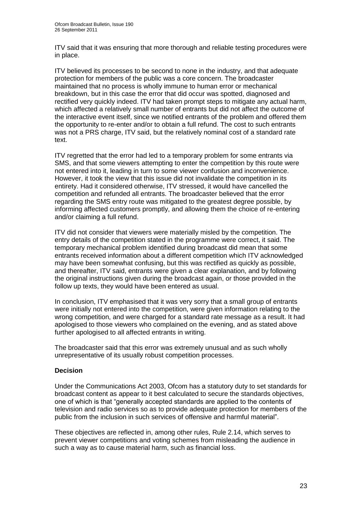ITV said that it was ensuring that more thorough and reliable testing procedures were in place.

ITV believed its processes to be second to none in the industry, and that adequate protection for members of the public was a core concern. The broadcaster maintained that no process is wholly immune to human error or mechanical breakdown, but in this case the error that did occur was spotted, diagnosed and rectified very quickly indeed. ITV had taken prompt steps to mitigate any actual harm, which affected a relatively small number of entrants but did not affect the outcome of the interactive event itself, since we notified entrants of the problem and offered them the opportunity to re-enter and/or to obtain a full refund. The cost to such entrants was not a PRS charge, ITV said, but the relatively nominal cost of a standard rate text.

ITV regretted that the error had led to a temporary problem for some entrants via SMS, and that some viewers attempting to enter the competition by this route were not entered into it, leading in turn to some viewer confusion and inconvenience. However, it took the view that this issue did not invalidate the competition in its entirety. Had it considered otherwise, ITV stressed, it would have cancelled the competition and refunded all entrants. The broadcaster believed that the error regarding the SMS entry route was mitigated to the greatest degree possible, by informing affected customers promptly, and allowing them the choice of re-entering and/or claiming a full refund.

ITV did not consider that viewers were materially misled by the competition. The entry details of the competition stated in the programme were correct, it said. The temporary mechanical problem identified during broadcast did mean that some entrants received information about a different competition which ITV acknowledged may have been somewhat confusing, but this was rectified as quickly as possible, and thereafter, ITV said, entrants were given a clear explanation, and by following the original instructions given during the broadcast again, or those provided in the follow up texts, they would have been entered as usual.

In conclusion, ITV emphasised that it was very sorry that a small group of entrants were initially not entered into the competition, were given information relating to the wrong competition, and were charged for a standard rate message as a result. It had apologised to those viewers who complained on the evening, and as stated above further apologised to all affected entrants in writing.

The broadcaster said that this error was extremely unusual and as such wholly unrepresentative of its usually robust competition processes.

#### **Decision**

Under the Communications Act 2003, Ofcom has a statutory duty to set standards for broadcast content as appear to it best calculated to secure the standards objectives, one of which is that "generally accepted standards are applied to the contents of television and radio services so as to provide adequate protection for members of the public from the inclusion in such services of offensive and harmful material".

These objectives are reflected in, among other rules, Rule 2.14, which serves to prevent viewer competitions and voting schemes from misleading the audience in such a way as to cause material harm, such as financial loss.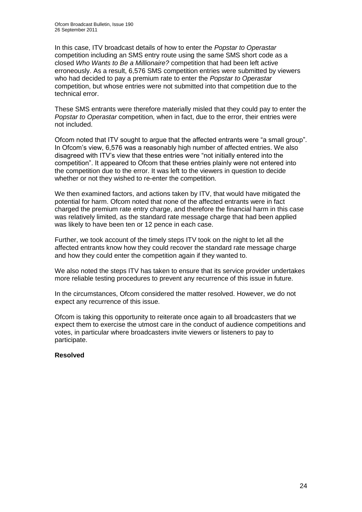In this case, ITV broadcast details of how to enter the *Popstar to Operastar*  competition including an SMS entry route using the same SMS short code as a closed *Who Wants to Be a Millionaire?* competition that had been left active erroneously. As a result, 6,576 SMS competition entries were submitted by viewers who had decided to pay a premium rate to enter the *Popstar to Operastar*  competition, but whose entries were not submitted into that competition due to the technical error.

These SMS entrants were therefore materially misled that they could pay to enter the *Popstar to Operastar* competition, when in fact, due to the error, their entries were not included.

Ofcom noted that ITV sought to argue that the affected entrants were "a small group". In Ofcom"s view, 6,576 was a reasonably high number of affected entries. We also disagreed with ITV"s view that these entries were "not initially entered into the competition". It appeared to Ofcom that these entries plainly were not entered into the competition due to the error. It was left to the viewers in question to decide whether or not they wished to re-enter the competition.

We then examined factors, and actions taken by ITV, that would have mitigated the potential for harm. Ofcom noted that none of the affected entrants were in fact charged the premium rate entry charge, and therefore the financial harm in this case was relatively limited, as the standard rate message charge that had been applied was likely to have been ten or 12 pence in each case.

Further, we took account of the timely steps ITV took on the night to let all the affected entrants know how they could recover the standard rate message charge and how they could enter the competition again if they wanted to.

We also noted the steps ITV has taken to ensure that its service provider undertakes more reliable testing procedures to prevent any recurrence of this issue in future.

In the circumstances, Ofcom considered the matter resolved. However, we do not expect any recurrence of this issue.

Ofcom is taking this opportunity to reiterate once again to all broadcasters that we expect them to exercise the utmost care in the conduct of audience competitions and votes, in particular where broadcasters invite viewers or listeners to pay to participate.

#### **Resolved**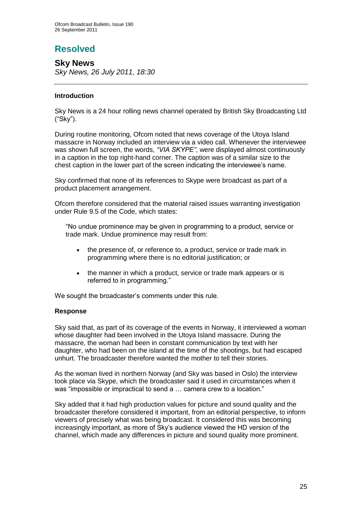# **Resolved**

**Sky News** *Sky News, 26 July 2011, 18:30*

#### **Introduction**

Sky News is a 24 hour rolling news channel operated by British Sky Broadcasting Ltd ("Sky").

During routine monitoring, Ofcom noted that news coverage of the Utoya Island massacre in Norway included an interview via a video call. Whenever the interviewee was shown full screen, the words, *"VIA SKYPE"*, were displayed almost continuously in a caption in the top right-hand corner. The caption was of a similar size to the chest caption in the lower part of the screen indicating the interviewee"s name.

Sky confirmed that none of its references to Skype were broadcast as part of a product placement arrangement.

Ofcom therefore considered that the material raised issues warranting investigation under Rule 9.5 of the Code, which states:

"No undue prominence may be given in programming to a product, service or trade mark. Undue prominence may result from:

- the presence of, or reference to, a product, service or trade mark in programming where there is no editorial justification; or
- the manner in which a product, service or trade mark appears or is referred to in programming."

We sought the broadcaster's comments under this rule.

#### **Response**

Sky said that, as part of its coverage of the events in Norway, it interviewed a woman whose daughter had been involved in the Utoya Island massacre. During the massacre, the woman had been in constant communication by text with her daughter, who had been on the island at the time of the shootings, but had escaped unhurt. The broadcaster therefore wanted the mother to tell their stories.

As the woman lived in northern Norway (and Sky was based in Oslo) the interview took place via Skype, which the broadcaster said it used in circumstances when it was "impossible or impractical to send a ... camera crew to a location."

Sky added that it had high production values for picture and sound quality and the broadcaster therefore considered it important, from an editorial perspective, to inform viewers of precisely what was being broadcast. It considered this was becoming increasingly important, as more of Sky"s audience viewed the HD version of the channel, which made any differences in picture and sound quality more prominent.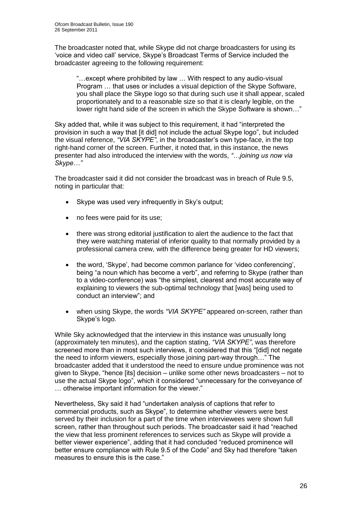The broadcaster noted that, while Skype did not charge broadcasters for using its "voice and video call" service, Skype"s Broadcast Terms of Service included the broadcaster agreeing to the following requirement:

"…except where prohibited by law … With respect to any audio-visual Program … that uses or includes a visual depiction of the Skype Software, you shall place the Skype logo so that during such use it shall appear, scaled proportionately and to a reasonable size so that it is clearly legible, on the lower right hand side of the screen in which the Skype Software is shown…"

Sky added that, while it was subject to this requirement, it had "interpreted the provision in such a way that [it did] not include the actual Skype logo", but included the visual reference, *"VIA SKYPE"*, in the broadcaster"s own type-face, in the top right-hand corner of the screen. Further, it noted that, in this instance, the news presenter had also introduced the interview with the words, *"…joining us now via Skype…"*

The broadcaster said it did not consider the broadcast was in breach of Rule 9.5, noting in particular that:

- Skype was used very infrequently in Sky's output;
- no fees were paid for its use;
- there was strong editorial justification to alert the audience to the fact that they were watching material of inferior quality to that normally provided by a professional camera crew, with the difference being greater for HD viewers;
- the word, "Skype", had become common parlance for "video conferencing", being "a noun which has become a verb", and referring to Skype (rather than to a video-conference) was "the simplest, clearest and most accurate way of explaining to viewers the sub-optimal technology that [was] being used to conduct an interview"; and
- when using Skype, the words *"VIA SKYPE"* appeared on-screen, rather than Skype's logo.

While Sky acknowledged that the interview in this instance was unusually long (approximately ten minutes), and the caption stating, *"VIA SKYPE"*, was therefore screened more than in most such interviews, it considered that this "[did] not negate the need to inform viewers, especially those joining part-way through…" The broadcaster added that it understood the need to ensure undue prominence was not given to Skype, "hence [its] decision – unlike some other news broadcasters – not to use the actual Skype logo", which it considered "unnecessary for the conveyance of … otherwise important information for the viewer."

Nevertheless, Sky said it had "undertaken analysis of captions that refer to commercial products, such as Skype", to determine whether viewers were best served by their inclusion for a part of the time when interviewees were shown full screen, rather than throughout such periods. The broadcaster said it had "reached the view that less prominent references to services such as Skype will provide a better viewer experience", adding that it had concluded "reduced prominence will better ensure compliance with Rule 9.5 of the Code" and Sky had therefore "taken measures to ensure this is the case."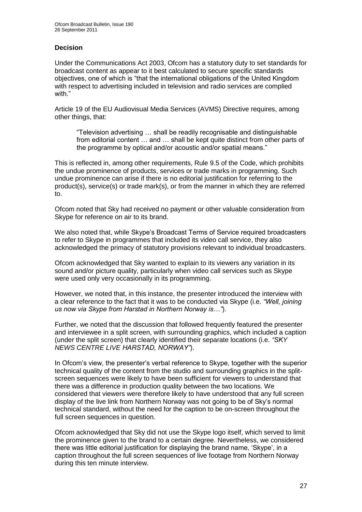#### **Decision**

Under the Communications Act 2003, Ofcom has a statutory duty to set standards for broadcast content as appear to it best calculated to secure specific standards objectives, one of which is "that the international obligations of the United Kingdom with respect to advertising included in television and radio services are complied with "

Article 19 of the EU Audiovisual Media Services (AVMS) Directive requires, among other things, that:

"Television advertising … shall be readily recognisable and distinguishable from editorial content … and … shall be kept quite distinct from other parts of the programme by optical and/or acoustic and/or spatial means."

This is reflected in, among other requirements, Rule 9.5 of the Code, which prohibits the undue prominence of products, services or trade marks in programming. Such undue prominence can arise if there is no editorial justification for referring to the product(s), service(s) or trade mark(s), or from the manner in which they are referred to.

Ofcom noted that Sky had received no payment or other valuable consideration from Skype for reference on air to its brand.

We also noted that, while Skype's Broadcast Terms of Service required broadcasters to refer to Skype in programmes that included its video call service, they also acknowledged the primacy of statutory provisions relevant to individual broadcasters.

Ofcom acknowledged that Sky wanted to explain to its viewers any variation in its sound and/or picture quality, particularly when video call services such as Skype were used only very occasionally in its programming.

However, we noted that, in this instance, the presenter introduced the interview with a clear reference to the fact that it was to be conducted via Skype (i.e. *"Well, joining us now via Skype from Harstad in Northern Norway is…"*).

Further, we noted that the discussion that followed frequently featured the presenter and interviewee in a split screen, with surrounding graphics, which included a caption (under the split screen) that clearly identified their separate locations (i.e. *"SKY NEWS CENTRE LIVE HARSTAD, NORWAY"*).

In Ofcom"s view, the presenter"s verbal reference to Skype, together with the superior technical quality of the content from the studio and surrounding graphics in the splitscreen sequences were likely to have been sufficient for viewers to understand that there was a difference in production quality between the two locations. We considered that viewers were therefore likely to have understood that any full screen display of the live link from Northern Norway was not going to be of Sky"s normal technical standard, without the need for the caption to be on-screen throughout the full screen sequences in question.

Ofcom acknowledged that Sky did not use the Skype logo itself, which served to limit the prominence given to the brand to a certain degree. Nevertheless, we considered there was little editorial justification for displaying the brand name, "Skype", in a caption throughout the full screen sequences of live footage from Northern Norway during this ten minute interview.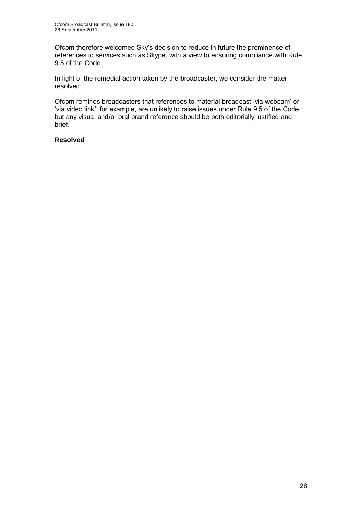Ofcom therefore welcomed Sky"s decision to reduce in future the prominence of references to services such as Skype, with a view to ensuring compliance with Rule 9.5 of the Code.

In light of the remedial action taken by the broadcaster, we consider the matter resolved.

Ofcom reminds broadcasters that references to material broadcast "via webcam" or 'via video link', for example, are unlikely to raise issues under Rule 9.5 of the Code, but any visual and/or oral brand reference should be both editorially justified and brief.

#### **Resolved**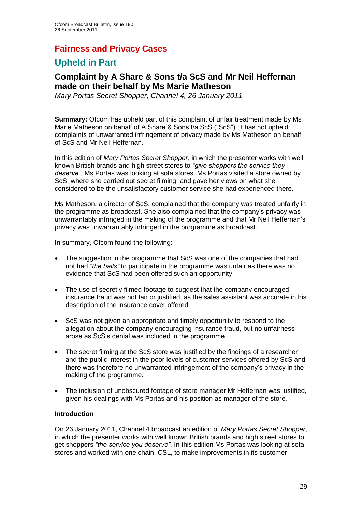## **Fairness and Privacy Cases**

## **Upheld in Part**

## **Complaint by A Share & Sons t/a ScS and Mr Neil Heffernan made on their behalf by Ms Marie Matheson**

*Mary Portas Secret Shopper, Channel 4, 26 January 2011*

**Summary:** Ofcom has upheld part of this complaint of unfair treatment made by Ms Marie Matheson on behalf of A Share & Sons t/a ScS ("ScS"). It has not upheld complaints of unwarranted infringement of privacy made by Ms Matheson on behalf of ScS and Mr Neil Heffernan.

In this edition of *Mary Portas Secret Shopper*, in which the presenter works with well known British brands and high street stores to *"give shoppers the service they deserve"*, Ms Portas was looking at sofa stores. Ms Portas visited a store owned by ScS, where she carried out secret filming, and gave her views on what she considered to be the unsatisfactory customer service she had experienced there.

Ms Matheson, a director of ScS, complained that the company was treated unfairly in the programme as broadcast. She also complained that the company"s privacy was unwarrantably infringed in the making of the programme and that Mr Neil Heffernan"s privacy was unwarrantably infringed in the programme as broadcast.

In summary, Ofcom found the following:

- The suggestion in the programme that ScS was one of the companies that had not had *"the balls"* to participate in the programme was unfair as there was no evidence that ScS had been offered such an opportunity.
- The use of secretly filmed footage to suggest that the company encouraged insurance fraud was not fair or justified, as the sales assistant was accurate in his description of the insurance cover offered.
- ScS was not given an appropriate and timely opportunity to respond to the allegation about the company encouraging insurance fraud, but no unfairness arose as ScS"s denial was included in the programme.
- The secret filming at the ScS store was justified by the findings of a researcher and the public interest in the poor levels of customer services offered by ScS and there was therefore no unwarranted infringement of the company"s privacy in the making of the programme.
- The inclusion of unobscured footage of store manager Mr Heffernan was justified, given his dealings with Ms Portas and his position as manager of the store.

#### **Introduction**

On 26 January 2011, Channel 4 broadcast an edition of *Mary Portas Secret Shopper*, in which the presenter works with well known British brands and high street stores to get shoppers *"the service you deserve"*. In this edition Ms Portas was looking at sofa stores and worked with one chain, CSL, to make improvements in its customer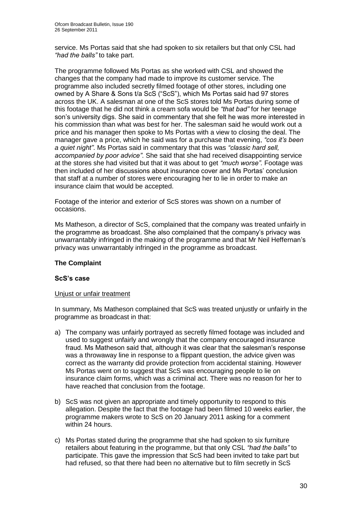service. Ms Portas said that she had spoken to six retailers but that only CSL had *"had the balls"* to take part.

The programme followed Ms Portas as she worked with CSL and showed the changes that the company had made to improve its customer service. The programme also included secretly filmed footage of other stores, including one owned by A Share & Sons t/a ScS ("ScS"), which Ms Portas said had 97 stores across the UK. A salesman at one of the ScS stores told Ms Portas during some of this footage that he did not think a cream sofa would be *"that bad"* for her teenage son"s university digs. She said in commentary that she felt he was more interested in his commission than what was best for her. The salesman said he would work out a price and his manager then spoke to Ms Portas with a view to closing the deal. The manager gave a price, which he said was for a purchase that evening, *"cos it"s been a quiet night"*. Ms Portas said in commentary that this was *"classic hard sell, accompanied by poor advice"*. She said that she had received disappointing service at the stores she had visited but that it was about to get *"much worse".* Footage was then included of her discussions about insurance cover and Ms Portas" conclusion that staff at a number of stores were encouraging her to lie in order to make an insurance claim that would be accepted.

Footage of the interior and exterior of ScS stores was shown on a number of occasions.

Ms Matheson, a director of ScS, complained that the company was treated unfairly in the programme as broadcast. She also complained that the company"s privacy was unwarrantably infringed in the making of the programme and that Mr Neil Heffernan"s privacy was unwarrantably infringed in the programme as broadcast.

#### **The Complaint**

#### **ScS's case**

#### Unjust or unfair treatment

In summary, Ms Matheson complained that ScS was treated unjustly or unfairly in the programme as broadcast in that:

- a) The company was unfairly portrayed as secretly filmed footage was included and used to suggest unfairly and wrongly that the company encouraged insurance fraud. Ms Matheson said that, although it was clear that the salesman"s response was a throwaway line in response to a flippant question, the advice given was correct as the warranty did provide protection from accidental staining. However Ms Portas went on to suggest that ScS was encouraging people to lie on insurance claim forms, which was a criminal act. There was no reason for her to have reached that conclusion from the footage.
- b) ScS was not given an appropriate and timely opportunity to respond to this allegation. Despite the fact that the footage had been filmed 10 weeks earlier, the programme makers wrote to ScS on 20 January 2011 asking for a comment within 24 hours.
- c) Ms Portas stated during the programme that she had spoken to six furniture retailers about featuring in the programme, but that only CSL *"had the balls"* to participate. This gave the impression that ScS had been invited to take part but had refused, so that there had been no alternative but to film secretly in ScS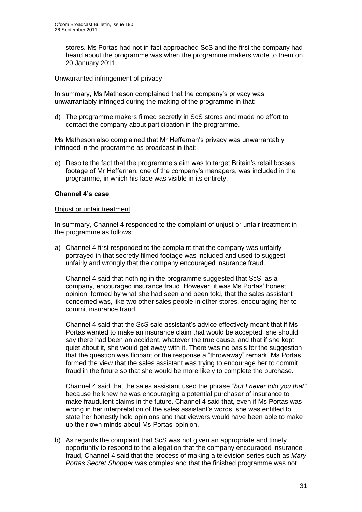stores. Ms Portas had not in fact approached ScS and the first the company had heard about the programme was when the programme makers wrote to them on 20 January 2011.

#### Unwarranted infringement of privacy

In summary, Ms Matheson complained that the company"s privacy was unwarrantably infringed during the making of the programme in that:

d) The programme makers filmed secretly in ScS stores and made no effort to contact the company about participation in the programme.

Ms Matheson also complained that Mr Heffernan"s privacy was unwarrantably infringed in the programme as broadcast in that:

e) Despite the fact that the programme's aim was to target Britain's retail bosses, footage of Mr Heffernan, one of the company"s managers, was included in the programme, in which his face was visible in its entirety.

#### **Channel 4's case**

#### Unjust or unfair treatment

In summary, Channel 4 responded to the complaint of unjust or unfair treatment in the programme as follows:

a) Channel 4 first responded to the complaint that the company was unfairly portrayed in that secretly filmed footage was included and used to suggest unfairly and wrongly that the company encouraged insurance fraud.

Channel 4 said that nothing in the programme suggested that ScS, as a company, encouraged insurance fraud. However, it was Ms Portas" honest opinion, formed by what she had seen and been told, that the sales assistant concerned was, like two other sales people in other stores, encouraging her to commit insurance fraud.

Channel 4 said that the ScS sale assistant"s advice effectively meant that if Ms Portas wanted to make an insurance claim that would be accepted, she should say there had been an accident, whatever the true cause, and that if she kept quiet about it, she would get away with it. There was no basis for the suggestion that the question was flippant or the response a "throwaway" remark. Ms Portas formed the view that the sales assistant was trying to encourage her to commit fraud in the future so that she would be more likely to complete the purchase.

Channel 4 said that the sales assistant used the phrase *"but I never told you that"* because he knew he was encouraging a potential purchaser of insurance to make fraudulent claims in the future. Channel 4 said that, even if Ms Portas was wrong in her interpretation of the sales assistant"s words, she was entitled to state her honestly held opinions and that viewers would have been able to make up their own minds about Ms Portas' opinion.

b) As regards the complaint that ScS was not given an appropriate and timely opportunity to respond to the allegation that the company encouraged insurance fraud, Channel 4 said that the process of making a television series such as *Mary Portas Secret Shopper* was complex and that the finished programme was not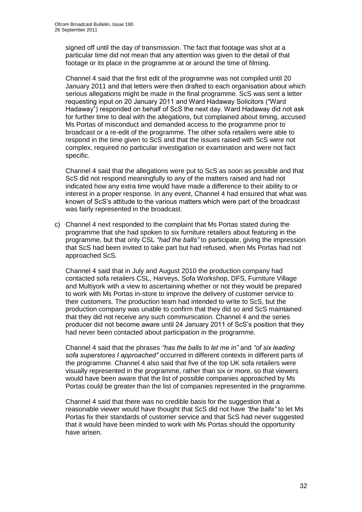signed off until the day of transmission. The fact that footage was shot at a particular time did not mean that any attention was given to the detail of that footage or its place in the programme at or around the time of filming.

Channel 4 said that the first edit of the programme was not compiled until 20 January 2011 and that letters were then drafted to each organisation about which serious allegations might be made in the final programme. ScS was sent a letter requesting input on 20 January 2011 and Ward Hadaway Solicitors ("Ward Hadaway") responded on behalf of ScS the next day. Ward Hadaway did not ask for further time to deal with the allegations, but complained about timing, accused Ms Portas of misconduct and demanded access to the programme prior to broadcast or a re-edit of the programme. The other sofa retailers were able to respond in the time given to ScS and that the issues raised with ScS were not complex, required no particular investigation or examination and were not fact specific.

Channel 4 said that the allegations were put to ScS as soon as possible and that ScS did not respond meaningfully to any of the matters raised and had not indicated how any extra time would have made a difference to their ability to or interest in a proper response. In any event, Channel 4 had ensured that what was known of ScS"s attitude to the various matters which were part of the broadcast was fairly represented in the broadcast.

c) Channel 4 next responded to the complaint that Ms Portas stated during the programme that she had spoken to six furniture retailers about featuring in the programme, but that only CSL *"had the balls"* to participate, giving the impression that ScS had been invited to take part but had refused, when Ms Portas had not approached ScS.

Channel 4 said that in July and August 2010 the production company had contacted sofa retailers CSL, Harveys, Sofa Workshop, DFS, Furniture Village and Multiyork with a view to ascertaining whether or not they would be prepared to work with Ms Portas in-store to improve the delivery of customer service to their customers. The production team had intended to write to ScS, but the production company was unable to confirm that they did so and ScS maintained that they did not receive any such communication. Channel 4 and the series producer did not become aware until 24 January 2011 of ScS"s position that they had never been contacted about participation in the programme.

Channel 4 said that the phrases *"has the balls to let me in"* and *"of six leading sofa superstores I approached"* occurred in different contexts in different parts of the programme. Channel 4 also said that five of the top UK sofa retailers were visually represented in the programme, rather than six or more, so that viewers would have been aware that the list of possible companies approached by Ms Portas could be greater than the list of companies represented in the programme.

Channel 4 said that there was no credible basis for the suggestion that a reasonable viewer would have thought that ScS did not have *"the balls"* to let Ms Portas fix their standards of customer service and that ScS had never suggested that it would have been minded to work with Ms Portas should the opportunity have arisen.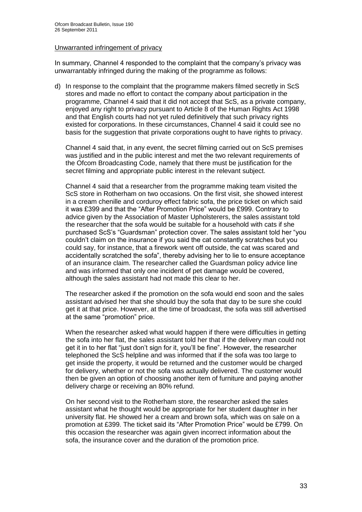#### Unwarranted infringement of privacy

In summary, Channel 4 responded to the complaint that the company"s privacy was unwarrantably infringed during the making of the programme as follows:

d) In response to the complaint that the programme makers filmed secretly in ScS stores and made no effort to contact the company about participation in the programme, Channel 4 said that it did not accept that ScS, as a private company, enjoyed any right to privacy pursuant to Article 8 of the Human Rights Act 1998 and that English courts had not yet ruled definitively that such privacy rights existed for corporations. In these circumstances, Channel 4 said it could see no basis for the suggestion that private corporations ought to have rights to privacy.

Channel 4 said that, in any event, the secret filming carried out on ScS premises was justified and in the public interest and met the two relevant requirements of the Ofcom Broadcasting Code, namely that there must be justification for the secret filming and appropriate public interest in the relevant subject.

Channel 4 said that a researcher from the programme making team visited the ScS store in Rotherham on two occasions. On the first visit, she showed interest in a cream chenille and corduroy effect fabric sofa, the price ticket on which said it was £399 and that the "After Promotion Price" would be £999. Contrary to advice given by the Association of Master Upholsterers, the sales assistant told the researcher that the sofa would be suitable for a household with cats if she purchased ScS"s "Guardsman" protection cover. The sales assistant told her "you couldn"t claim on the insurance if you said the cat constantly scratches but you could say, for instance, that a firework went off outside, the cat was scared and accidentally scratched the sofa", thereby advising her to lie to ensure acceptance of an insurance claim. The researcher called the Guardsman policy advice line and was informed that only one incident of pet damage would be covered, although the sales assistant had not made this clear to her.

The researcher asked if the promotion on the sofa would end soon and the sales assistant advised her that she should buy the sofa that day to be sure she could get it at that price. However, at the time of broadcast, the sofa was still advertised at the same "promotion" price.

When the researcher asked what would happen if there were difficulties in getting the sofa into her flat, the sales assistant told her that if the delivery man could not get it in to her flat "just don"t sign for it, you"ll be fine". However, the researcher telephoned the ScS helpline and was informed that if the sofa was too large to get inside the property, it would be returned and the customer would be charged for delivery, whether or not the sofa was actually delivered. The customer would then be given an option of choosing another item of furniture and paying another delivery charge or receiving an 80% refund.

On her second visit to the Rotherham store, the researcher asked the sales assistant what he thought would be appropriate for her student daughter in her university flat. He showed her a cream and brown sofa, which was on sale on a promotion at £399. The ticket said its "After Promotion Price" would be £799. On this occasion the researcher was again given incorrect information about the sofa, the insurance cover and the duration of the promotion price.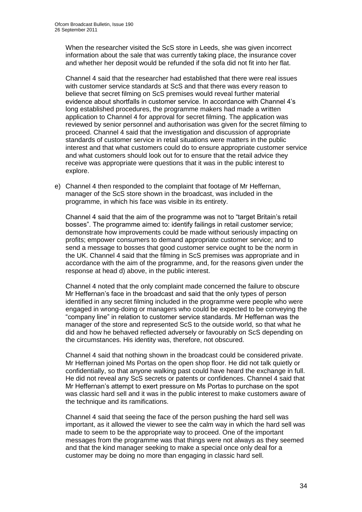When the researcher visited the ScS store in Leeds, she was given incorrect information about the sale that was currently taking place, the insurance cover and whether her deposit would be refunded if the sofa did not fit into her flat.

Channel 4 said that the researcher had established that there were real issues with customer service standards at ScS and that there was every reason to believe that secret filming on ScS premises would reveal further material evidence about shortfalls in customer service. In accordance with Channel 4"s long established procedures, the programme makers had made a written application to Channel 4 for approval for secret filming. The application was reviewed by senior personnel and authorisation was given for the secret filming to proceed. Channel 4 said that the investigation and discussion of appropriate standards of customer service in retail situations were matters in the public interest and that what customers could do to ensure appropriate customer service and what customers should look out for to ensure that the retail advice they receive was appropriate were questions that it was in the public interest to explore.

e) Channel 4 then responded to the complaint that footage of Mr Heffernan, manager of the ScS store shown in the broadcast, was included in the programme, in which his face was visible in its entirety.

Channel 4 said that the aim of the programme was not to "target Britain"s retail bosses". The programme aimed to: identify failings in retail customer service; demonstrate how improvements could be made without seriously impacting on profits; empower consumers to demand appropriate customer service; and to send a message to bosses that good customer service ought to be the norm in the UK. Channel 4 said that the filming in ScS premises was appropriate and in accordance with the aim of the programme, and, for the reasons given under the response at head d) above, in the public interest.

Channel 4 noted that the only complaint made concerned the failure to obscure Mr Heffernan"s face in the broadcast and said that the only types of person identified in any secret filming included in the programme were people who were engaged in wrong-doing or managers who could be expected to be conveying the "company line" in relation to customer service standards. Mr Heffernan was the manager of the store and represented ScS to the outside world, so that what he did and how he behaved reflected adversely or favourably on ScS depending on the circumstances. His identity was, therefore, not obscured.

Channel 4 said that nothing shown in the broadcast could be considered private. Mr Heffernan joined Ms Portas on the open shop floor. He did not talk quietly or confidentially, so that anyone walking past could have heard the exchange in full. He did not reveal any ScS secrets or patents or confidences. Channel 4 said that Mr Heffernan"s attempt to exert pressure on Ms Portas to purchase on the spot was classic hard sell and it was in the public interest to make customers aware of the technique and its ramifications.

Channel 4 said that seeing the face of the person pushing the hard sell was important, as it allowed the viewer to see the calm way in which the hard sell was made to seem to be the appropriate way to proceed. One of the important messages from the programme was that things were not always as they seemed and that the kind manager seeking to make a special once only deal for a customer may be doing no more than engaging in classic hard sell.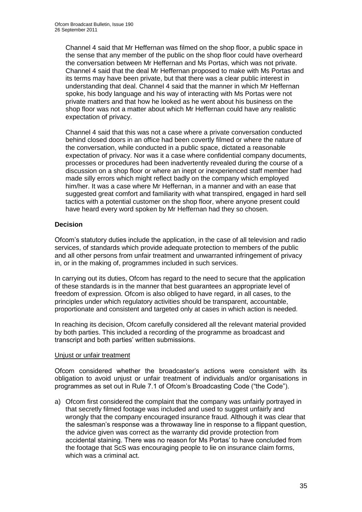Channel 4 said that Mr Heffernan was filmed on the shop floor, a public space in the sense that any member of the public on the shop floor could have overheard the conversation between Mr Heffernan and Ms Portas, which was not private. Channel 4 said that the deal Mr Heffernan proposed to make with Ms Portas and its terms may have been private, but that there was a clear public interest in understanding that deal. Channel 4 said that the manner in which Mr Heffernan spoke, his body language and his way of interacting with Ms Portas were not private matters and that how he looked as he went about his business on the shop floor was not a matter about which Mr Heffernan could have any realistic expectation of privacy.

Channel 4 said that this was not a case where a private conversation conducted behind closed doors in an office had been covertly filmed or where the nature of the conversation, while conducted in a public space, dictated a reasonable expectation of privacy. Nor was it a case where confidential company documents, processes or procedures had been inadvertently revealed during the course of a discussion on a shop floor or where an inept or inexperienced staff member had made silly errors which might reflect badly on the company which employed him/her. It was a case where Mr Heffernan, in a manner and with an ease that suggested great comfort and familiarity with what transpired, engaged in hard sell tactics with a potential customer on the shop floor, where anyone present could have heard every word spoken by Mr Heffernan had they so chosen.

#### **Decision**

Ofcom"s statutory duties include the application, in the case of all television and radio services, of standards which provide adequate protection to members of the public and all other persons from unfair treatment and unwarranted infringement of privacy in, or in the making of, programmes included in such services.

In carrying out its duties, Ofcom has regard to the need to secure that the application of these standards is in the manner that best guarantees an appropriate level of freedom of expression. Ofcom is also obliged to have regard, in all cases, to the principles under which regulatory activities should be transparent, accountable, proportionate and consistent and targeted only at cases in which action is needed.

In reaching its decision, Ofcom carefully considered all the relevant material provided by both parties. This included a recording of the programme as broadcast and transcript and both parties' written submissions.

#### Unjust or unfair treatment

Ofcom considered whether the broadcaster"s actions were consistent with its obligation to avoid unjust or unfair treatment of individuals and/or organisations in programmes as set out in Rule 7.1 of Ofcom"s Broadcasting Code ("the Code").

a) Ofcom first considered the complaint that the company was unfairly portrayed in that secretly filmed footage was included and used to suggest unfairly and wrongly that the company encouraged insurance fraud. Although it was clear that the salesman"s response was a throwaway line in response to a flippant question, the advice given was correct as the warranty did provide protection from accidental staining. There was no reason for Ms Portas" to have concluded from the footage that ScS was encouraging people to lie on insurance claim forms, which was a criminal act.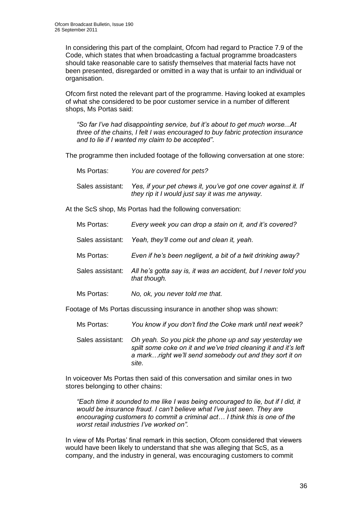In considering this part of the complaint, Ofcom had regard to Practice 7.9 of the Code, which states that when broadcasting a factual programme broadcasters should take reasonable care to satisfy themselves that material facts have not been presented, disregarded or omitted in a way that is unfair to an individual or organisation.

Ofcom first noted the relevant part of the programme. Having looked at examples of what she considered to be poor customer service in a number of different shops, Ms Portas said:

*"So far I"ve had disappointing service, but it"s about to get much worse...At three of the chains, I felt I was encouraged to buy fabric protection insurance and to lie if I wanted my claim to be accepted"*.

The programme then included footage of the following conversation at one store:

Ms Portas: *You are covered for pets?* Sales assistant: *Yes, if your pet chews it, you"ve got one cover against it. If they rip it I would just say it was me anyway.* 

At the ScS shop, Ms Portas had the following conversation:

| Ms Portas:       | Every week you can drop a stain on it, and it's covered?                        |
|------------------|---------------------------------------------------------------------------------|
| Sales assistant: | Yeah, they'll come out and clean it, yeah.                                      |
| Ms Portas:       | Even if he's been negligent, a bit of a twit drinking away?                     |
| Sales assistant: | All he's gotta say is, it was an accident, but I never told you<br>that though. |
| Ms Portas:       | No, ok, you never told me that.                                                 |

Footage of Ms Portas discussing insurance in another shop was shown:

- Ms Portas: *You know if you don"t find the Coke mark until next week?*
- Sales assistant: *Oh yeah. So you pick the phone up and say yesterday we spilt some coke on it and we"ve tried cleaning it and it"s left a mark…right we"ll send somebody out and they sort it on site.*

In voiceover Ms Portas then said of this conversation and similar ones in two stores belonging to other chains:

*"Each time it sounded to me like I was being encouraged to lie, but if I did, it would be insurance fraud. I can"t believe what I"ve just seen. They are encouraging customers to commit a criminal act… I think this is one of the worst retail industries I"ve worked on".*

In view of Ms Portas" final remark in this section, Ofcom considered that viewers would have been likely to understand that she was alleging that ScS, as a company, and the industry in general, was encouraging customers to commit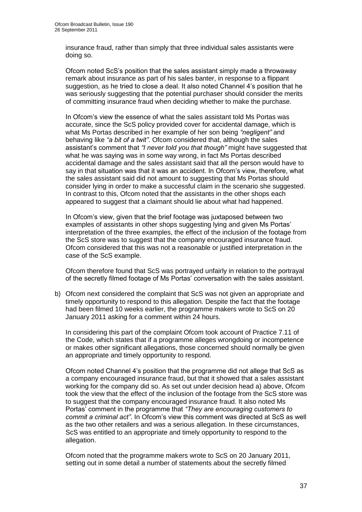insurance fraud, rather than simply that three individual sales assistants were doing so.

Ofcom noted ScS"s position that the sales assistant simply made a throwaway remark about insurance as part of his sales banter, in response to a flippant suggestion, as he tried to close a deal. It also noted Channel 4"s position that he was seriously suggesting that the potential purchaser should consider the merits of committing insurance fraud when deciding whether to make the purchase.

In Ofcom"s view the essence of what the sales assistant told Ms Portas was accurate, since the ScS policy provided cover for accidental damage, which is what Ms Portas described in her example of her son being *"negligent"* and behaving like *"a bit of a twit"*. Ofcom considered that, although the sales assistant"s comment that *"I never told you that though"* might have suggested that what he was saying was in some way wrong, in fact Ms Portas described accidental damage and the sales assistant said that all the person would have to say in that situation was that it was an accident. In Ofcom"s view, therefore, what the sales assistant said did not amount to suggesting that Ms Portas should consider lying in order to make a successful claim in the scenario she suggested. In contrast to this, Ofcom noted that the assistants in the other shops each appeared to suggest that a claimant should lie about what had happened.

In Ofcom"s view, given that the brief footage was juxtaposed between two examples of assistants in other shops suggesting lying and given Ms Portas' interpretation of the three examples, the effect of the inclusion of the footage from the ScS store was to suggest that the company encouraged insurance fraud. Ofcom considered that this was not a reasonable or justified interpretation in the case of the ScS example.

Ofcom therefore found that ScS was portrayed unfairly in relation to the portrayal of the secretly filmed footage of Ms Portas" conversation with the sales assistant.

b) Ofcom next considered the complaint that ScS was not given an appropriate and timely opportunity to respond to this allegation. Despite the fact that the footage had been filmed 10 weeks earlier, the programme makers wrote to ScS on 20 January 2011 asking for a comment within 24 hours.

In considering this part of the complaint Ofcom took account of Practice 7.11 of the Code, which states that if a programme alleges wrongdoing or incompetence or makes other significant allegations, those concerned should normally be given an appropriate and timely opportunity to respond.

Ofcom noted Channel 4"s position that the programme did not allege that ScS as a company encouraged insurance fraud, but that it showed that a sales assistant working for the company did so. As set out under decision head a) above, Ofcom took the view that the effect of the inclusion of the footage from the ScS store was to suggest that the company encouraged insurance fraud. It also noted Ms Portas" comment in the programme that *"They are encouraging customers to commit a criminal act"*. In Ofcom"s view this comment was directed at ScS as well as the two other retailers and was a serious allegation. In these circumstances, ScS was entitled to an appropriate and timely opportunity to respond to the allegation.

Ofcom noted that the programme makers wrote to ScS on 20 January 2011, setting out in some detail a number of statements about the secretly filmed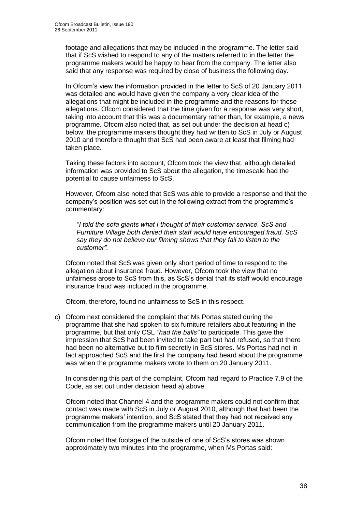footage and allegations that may be included in the programme. The letter said that if ScS wished to respond to any of the matters referred to in the letter the programme makers would be happy to hear from the company. The letter also said that any response was required by close of business the following day.

In Ofcom"s view the information provided in the letter to ScS of 20 January 2011 was detailed and would have given the company a very clear idea of the allegations that might be included in the programme and the reasons for those allegations. Ofcom considered that the time given for a response was very short, taking into account that this was a documentary rather than, for example, a news programme. Ofcom also noted that, as set out under the decision at head c) below, the programme makers thought they had written to ScS in July or August 2010 and therefore thought that ScS had been aware at least that filming had taken place.

Taking these factors into account, Ofcom took the view that, although detailed information was provided to ScS about the allegation, the timescale had the potential to cause unfairness to ScS.

However, Ofcom also noted that ScS was able to provide a response and that the company"s position was set out in the following extract from the programme"s commentary:

*"I told the sofa giants what I thought of their customer service. ScS and Furniture Village both denied their staff would have encouraged fraud. ScS say they do not believe our filming shows that they fail to listen to the customer".*

Ofcom noted that ScS was given only short period of time to respond to the allegation about insurance fraud. However, Ofcom took the view that no unfairness arose to ScS from this, as ScS"s denial that its staff would encourage insurance fraud was included in the programme.

Ofcom, therefore, found no unfairness to ScS in this respect.

c) Ofcom next considered the complaint that Ms Portas stated during the programme that she had spoken to six furniture retailers about featuring in the programme, but that only CSL *"had the balls"* to participate. This gave the impression that ScS had been invited to take part but had refused, so that there had been no alternative but to film secretly in ScS stores. Ms Portas had not in fact approached ScS and the first the company had heard about the programme was when the programme makers wrote to them on 20 January 2011.

In considering this part of the complaint, Ofcom had regard to Practice 7.9 of the Code, as set out under decision head a) above.

Ofcom noted that Channel 4 and the programme makers could not confirm that contact was made with ScS in July or August 2010, although that had been the programme makers" intention, and ScS stated that they had not received any communication from the programme makers until 20 January 2011.

Ofcom noted that footage of the outside of one of ScS"s stores was shown approximately two minutes into the programme, when Ms Portas said: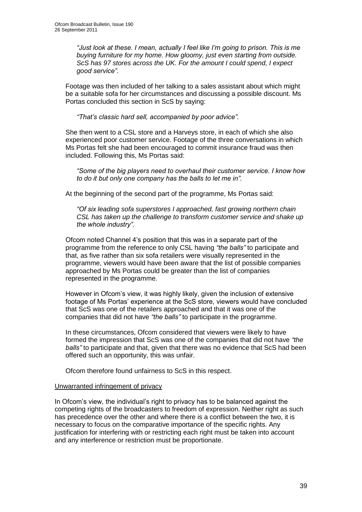*"Just look at these. I mean, actually I feel like I"m going to prison. This is me buying furniture for my home. How gloomy, just even starting from outside. ScS has 97 stores across the UK. For the amount I could spend, I expect good service"*.

Footage was then included of her talking to a sales assistant about which might be a suitable sofa for her circumstances and discussing a possible discount. Ms Portas concluded this section in ScS by saying:

*"That"s classic hard sell, accompanied by poor advice".*

She then went to a CSL store and a Harveys store, in each of which she also experienced poor customer service. Footage of the three conversations in which Ms Portas felt she had been encouraged to commit insurance fraud was then included. Following this, Ms Portas said:

*"Some of the big players need to overhaul their customer service. I know how to do it but only one company has the balls to let me in".*

At the beginning of the second part of the programme, Ms Portas said:

*"Of six leading sofa superstores I approached, fast growing northern chain CSL has taken up the challenge to transform customer service and shake up the whole industry".*

Ofcom noted Channel 4"s position that this was in a separate part of the programme from the reference to only CSL having *"the balls"* to participate and that, as five rather than six sofa retailers were visually represented in the programme, viewers would have been aware that the list of possible companies approached by Ms Portas could be greater than the list of companies represented in the programme.

However in Ofcom"s view, it was highly likely, given the inclusion of extensive footage of Ms Portas" experience at the ScS store, viewers would have concluded that ScS was one of the retailers approached and that it was one of the companies that did not have *"the balls"* to participate in the programme.

In these circumstances, Ofcom considered that viewers were likely to have formed the impression that ScS was one of the companies that did not have *"the balls"* to participate and that, given that there was no evidence that ScS had been offered such an opportunity, this was unfair.

Ofcom therefore found unfairness to ScS in this respect.

#### Unwarranted infringement of privacy

In Ofcom"s view, the individual"s right to privacy has to be balanced against the competing rights of the broadcasters to freedom of expression. Neither right as such has precedence over the other and where there is a conflict between the two, it is necessary to focus on the comparative importance of the specific rights. Any justification for interfering with or restricting each right must be taken into account and any interference or restriction must be proportionate.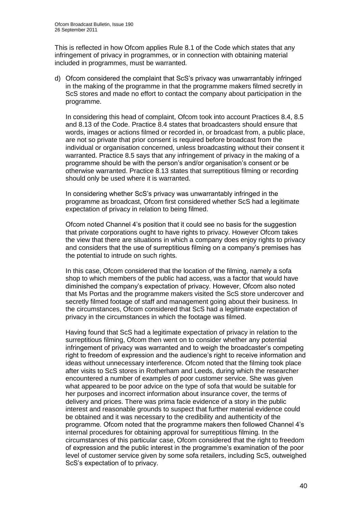This is reflected in how Ofcom applies Rule 8.1 of the Code which states that any infringement of privacy in programmes, or in connection with obtaining material included in programmes, must be warranted.

d) Ofcom considered the complaint that ScS"s privacy was unwarrantably infringed in the making of the programme in that the programme makers filmed secretly in ScS stores and made no effort to contact the company about participation in the programme.

In considering this head of complaint, Ofcom took into account Practices 8.4, 8.5 and 8.13 of the Code. Practice 8.4 states that broadcasters should ensure that words, images or actions filmed or recorded in, or broadcast from, a public place, are not so private that prior consent is required before broadcast from the individual or organisation concerned, unless broadcasting without their consent it warranted. Practice 8.5 says that any infringement of privacy in the making of a programme should be with the person"s and/or organisation"s consent or be otherwise warranted. Practice 8.13 states that surreptitious filming or recording should only be used where it is warranted.

In considering whether ScS"s privacy was unwarrantably infringed in the programme as broadcast, Ofcom first considered whether ScS had a legitimate expectation of privacy in relation to being filmed.

Ofcom noted Channel 4"s position that it could see no basis for the suggestion that private corporations ought to have rights to privacy. However Ofcom takes the view that there are situations in which a company does enjoy rights to privacy and considers that the use of surreptitious filming on a company"s premises has the potential to intrude on such rights.

In this case, Ofcom considered that the location of the filming, namely a sofa shop to which members of the public had access, was a factor that would have diminished the company"s expectation of privacy. However, Ofcom also noted that Ms Portas and the programme makers visited the ScS store undercover and secretly filmed footage of staff and management going about their business. In the circumstances, Ofcom considered that ScS had a legitimate expectation of privacy in the circumstances in which the footage was filmed.

Having found that ScS had a legitimate expectation of privacy in relation to the surreptitious filming, Ofcom then went on to consider whether any potential infringement of privacy was warranted and to weigh the broadcaster"s competing right to freedom of expression and the audience's right to receive information and ideas without unnecessary interference. Ofcom noted that the filming took place after visits to ScS stores in Rotherham and Leeds, during which the researcher encountered a number of examples of poor customer service. She was given what appeared to be poor advice on the type of sofa that would be suitable for her purposes and incorrect information about insurance cover, the terms of delivery and prices. There was prima facie evidence of a story in the public interest and reasonable grounds to suspect that further material evidence could be obtained and it was necessary to the credibility and authenticity of the programme. Ofcom noted that the programme makers then followed Channel 4"s internal procedures for obtaining approval for surreptitious filming. In the circumstances of this particular case, Ofcom considered that the right to freedom of expression and the public interest in the programme"s examination of the poor level of customer service given by some sofa retailers, including ScS, outweighed ScS's expectation of to privacy.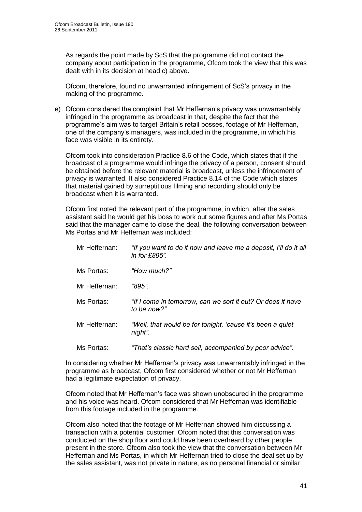As regards the point made by ScS that the programme did not contact the company about participation in the programme, Ofcom took the view that this was dealt with in its decision at head c) above.

Ofcom, therefore, found no unwarranted infringement of ScS"s privacy in the making of the programme.

e) Ofcom considered the complaint that Mr Heffernan"s privacy was unwarrantably infringed in the programme as broadcast in that, despite the fact that the programme"s aim was to target Britain"s retail bosses, footage of Mr Heffernan, one of the company"s managers, was included in the programme, in which his face was visible in its entirety.

Ofcom took into consideration Practice 8.6 of the Code, which states that if the broadcast of a programme would infringe the privacy of a person, consent should be obtained before the relevant material is broadcast, unless the infringement of privacy is warranted. It also considered Practice 8.14 of the Code which states that material gained by surreptitious filming and recording should only be broadcast when it is warranted.

Ofcom first noted the relevant part of the programme, in which, after the sales assistant said he would get his boss to work out some figures and after Ms Portas said that the manager came to close the deal, the following conversation between Ms Portas and Mr Heffernan was included:

| Mr Heffernan: | "If you want to do it now and leave me a deposit, I'll do it all<br>in for $£895"$ . |
|---------------|--------------------------------------------------------------------------------------|
| Ms Portas:    | "How much?"                                                                          |
| Mr Heffernan: | "895".                                                                               |
| Ms Portas:    | "If I come in tomorrow, can we sort it out? Or does it have<br>to be now?"           |
| Mr Heffernan: | "Well, that would be for tonight, 'cause it's been a quiet<br>night".                |
| Ms Portas:    | "That's classic hard sell, accompanied by poor advice".                              |

In considering whether Mr Heffernan"s privacy was unwarrantably infringed in the programme as broadcast, Ofcom first considered whether or not Mr Heffernan had a legitimate expectation of privacy.

Ofcom noted that Mr Heffernan"s face was shown unobscured in the programme and his voice was heard. Ofcom considered that Mr Heffernan was identifiable from this footage included in the programme.

Ofcom also noted that the footage of Mr Heffernan showed him discussing a transaction with a potential customer. Ofcom noted that this conversation was conducted on the shop floor and could have been overheard by other people present in the store. Ofcom also took the view that the conversation between Mr Heffernan and Ms Portas, in which Mr Heffernan tried to close the deal set up by the sales assistant, was not private in nature, as no personal financial or similar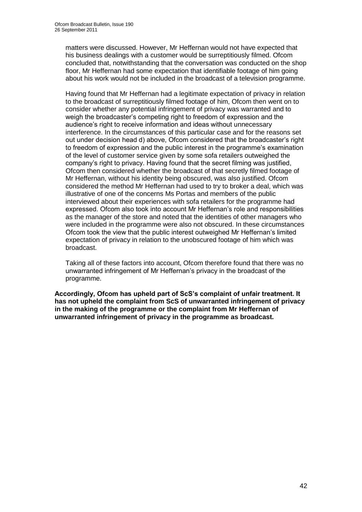matters were discussed. However, Mr Heffernan would not have expected that his business dealings with a customer would be surreptitiously filmed. Ofcom concluded that, notwithstanding that the conversation was conducted on the shop floor, Mr Heffernan had some expectation that identifiable footage of him going about his work would not be included in the broadcast of a television programme.

Having found that Mr Heffernan had a legitimate expectation of privacy in relation to the broadcast of surreptitiously filmed footage of him, Ofcom then went on to consider whether any potential infringement of privacy was warranted and to weigh the broadcaster"s competing right to freedom of expression and the audience's right to receive information and ideas without unnecessary interference. In the circumstances of this particular case and for the reasons set out under decision head d) above, Ofcom considered that the broadcaster"s right to freedom of expression and the public interest in the programme"s examination of the level of customer service given by some sofa retailers outweighed the company"s right to privacy. Having found that the secret filming was justified, Ofcom then considered whether the broadcast of that secretly filmed footage of Mr Heffernan, without his identity being obscured, was also justified. Ofcom considered the method Mr Heffernan had used to try to broker a deal, which was illustrative of one of the concerns Ms Portas and members of the public interviewed about their experiences with sofa retailers for the programme had expressed. Ofcom also took into account Mr Heffernan"s role and responsibilities as the manager of the store and noted that the identities of other managers who were included in the programme were also not obscured. In these circumstances Ofcom took the view that the public interest outweighed Mr Heffernan"s limited expectation of privacy in relation to the unobscured footage of him which was broadcast.

Taking all of these factors into account, Ofcom therefore found that there was no unwarranted infringement of Mr Heffernan"s privacy in the broadcast of the programme.

**Accordingly, Ofcom has upheld part of ScS's complaint of unfair treatment. It has not upheld the complaint from ScS of unwarranted infringement of privacy in the making of the programme or the complaint from Mr Heffernan of unwarranted infringement of privacy in the programme as broadcast.**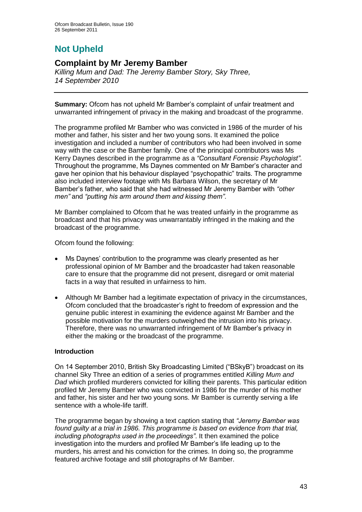# **Not Upheld**

## **Complaint by Mr Jeremy Bamber**

*Killing Mum and Dad: The Jeremy Bamber Story, Sky Three, 14 September 2010*

**Summary:** Ofcom has not upheld Mr Bamber"s complaint of unfair treatment and unwarranted infringement of privacy in the making and broadcast of the programme.

The programme profiled Mr Bamber who was convicted in 1986 of the murder of his mother and father, his sister and her two young sons. It examined the police investigation and included a number of contributors who had been involved in some way with the case or the Bamber family. One of the principal contributors was Ms Kerry Daynes described in the programme as a *"Consultant Forensic Psychologist"*. Throughout the programme, Ms Daynes commented on Mr Bamber"s character and gave her opinion that his behaviour displayed "psychopathic" traits. The programme also included interview footage with Ms Barbara Wilson, the secretary of Mr Bamber"s father, who said that she had witnessed Mr Jeremy Bamber with *"other men"* and *"putting his arm around them and kissing them"*.

Mr Bamber complained to Ofcom that he was treated unfairly in the programme as broadcast and that his privacy was unwarrantably infringed in the making and the broadcast of the programme.

Ofcom found the following:

- Ms Daynes' contribution to the programme was clearly presented as her professional opinion of Mr Bamber and the broadcaster had taken reasonable care to ensure that the programme did not present, disregard or omit material facts in a way that resulted in unfairness to him.
- Although Mr Bamber had a legitimate expectation of privacy in the circumstances, Ofcom concluded that the broadcaster"s right to freedom of expression and the genuine public interest in examining the evidence against Mr Bamber and the possible motivation for the murders outweighed the intrusion into his privacy. Therefore, there was no unwarranted infringement of Mr Bamber"s privacy in either the making or the broadcast of the programme.

#### **Introduction**

On 14 September 2010, British Sky Broadcasting Limited ("BSkyB") broadcast on its channel Sky Three an edition of a series of programmes entitled *Killing Mum and Dad* which profiled murderers convicted for killing their parents. This particular edition profiled Mr Jeremy Bamber who was convicted in 1986 for the murder of his mother and father, his sister and her two young sons. Mr Bamber is currently serving a life sentence with a whole-life tariff.

The programme began by showing a text caption stating that *"Jeremy Bamber was*  found guilty at a trial in 1986. This programme is based on evidence from that trial, *including photographs used in the proceedings"*. It then examined the police investigation into the murders and profiled Mr Bamber"s life leading up to the murders, his arrest and his conviction for the crimes. In doing so, the programme featured archive footage and still photographs of Mr Bamber.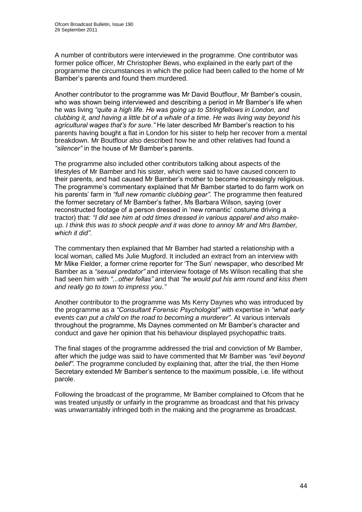A number of contributors were interviewed in the programme. One contributor was former police officer, Mr Christopher Bews, who explained in the early part of the programme the circumstances in which the police had been called to the home of Mr Bamber"s parents and found them murdered.

Another contributor to the programme was Mr David Boutflour, Mr Bamber"s cousin, who was shown being interviewed and describing a period in Mr Bamber"s life when he was living *"quite a high life. He was going up to Stringfellows in London, and clubbing it, and having a little bit of a whale of a time. He was living way beyond his agricultural wages that"s for sure*.*"* He later described Mr Bamber"s reaction to his parents having bought a flat in London for his sister to help her recover from a mental breakdown. Mr Boutflour also described how he and other relatives had found a *"silencer"* in the house of Mr Bamber"s parents.

The programme also included other contributors talking about aspects of the lifestyles of Mr Bamber and his sister, which were said to have caused concern to their parents, and had caused Mr Bamber"s mother to become increasingly religious. The programme"s commentary explained that Mr Bamber started to do farm work on his parents" farm in *"full new romantic clubbing gear"*. The programme then featured the former secretary of Mr Bamber"s father, Ms Barbara Wilson, saying (over reconstructed footage of a person dressed in "new romantic" costume driving a tractor) that: *"I did see him at odd times dressed in various apparel and also makeup. I think this was to shock people and it was done to annoy Mr and Mrs Bamber, which it did"*.

The commentary then explained that Mr Bamber had started a relationship with a local woman, called Ms Julie Mugford. It included an extract from an interview with Mr Mike Fielder, a former crime reporter for "The Sun" newspaper, who described Mr Bamber as a *"sexual predator"* and interview footage of Ms Wilson recalling that she had seen him with *"...other fellas"* and that *"he would put his arm round and kiss them and really go to town to impress you*.*"*

Another contributor to the programme was Ms Kerry Daynes who was introduced by the programme as a *"Consultant Forensic Psychologist"* with expertise in *"what early events can put a child on the road to becoming a murderer"*. At various intervals throughout the programme, Ms Daynes commented on Mr Bamber"s character and conduct and gave her opinion that his behaviour displayed psychopathic traits.

The final stages of the programme addressed the trial and conviction of Mr Bamber, after which the judge was said to have commented that Mr Bamber was *"evil beyond belief"*. The programme concluded by explaining that, after the trial, the then Home Secretary extended Mr Bamber"s sentence to the maximum possible, i.e. life without parole.

Following the broadcast of the programme, Mr Bamber complained to Ofcom that he was treated unjustly or unfairly in the programme as broadcast and that his privacy was unwarrantably infringed both in the making and the programme as broadcast.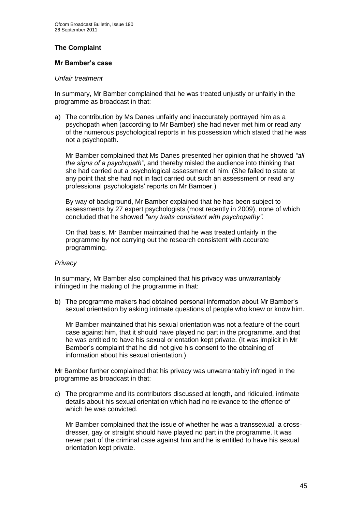#### **The Complaint**

#### **Mr Bamber's case**

#### *Unfair treatment*

In summary, Mr Bamber complained that he was treated unjustly or unfairly in the programme as broadcast in that:

a) The contribution by Ms Danes unfairly and inaccurately portrayed him as a psychopath when (according to Mr Bamber) she had never met him or read any of the numerous psychological reports in his possession which stated that he was not a psychopath.

Mr Bamber complained that Ms Danes presented her opinion that he showed *"all the signs of a psychopath"*, and thereby misled the audience into thinking that she had carried out a psychological assessment of him. (She failed to state at any point that she had not in fact carried out such an assessment or read any professional psychologists" reports on Mr Bamber.)

By way of background, Mr Bamber explained that he has been subject to assessments by 27 expert psychologists (most recently in 2009), none of which concluded that he showed *"any traits consistent with psychopathy"*.

On that basis, Mr Bamber maintained that he was treated unfairly in the programme by not carrying out the research consistent with accurate programming.

#### *Privacy*

In summary, Mr Bamber also complained that his privacy was unwarrantably infringed in the making of the programme in that:

b) The programme makers had obtained personal information about Mr Bamber"s sexual orientation by asking intimate questions of people who knew or know him.

Mr Bamber maintained that his sexual orientation was not a feature of the court case against him, that it should have played no part in the programme, and that he was entitled to have his sexual orientation kept private. (It was implicit in Mr Bamber"s complaint that he did not give his consent to the obtaining of information about his sexual orientation.)

Mr Bamber further complained that his privacy was unwarrantably infringed in the programme as broadcast in that:

c) The programme and its contributors discussed at length, and ridiculed, intimate details about his sexual orientation which had no relevance to the offence of which he was convicted.

Mr Bamber complained that the issue of whether he was a transsexual, a crossdresser, gay or straight should have played no part in the programme. It was never part of the criminal case against him and he is entitled to have his sexual orientation kept private.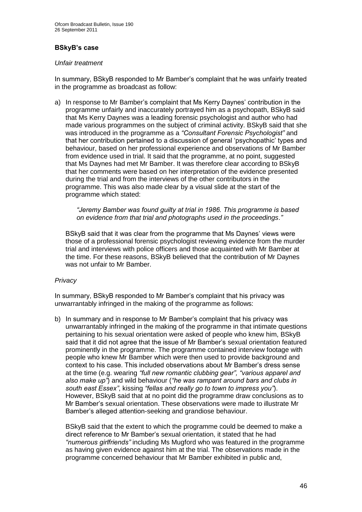#### **BSkyB's case**

#### *Unfair treatment*

In summary, BSkyB responded to Mr Bamber"s complaint that he was unfairly treated in the programme as broadcast as follow:

a) In response to Mr Bamber"s complaint that Ms Kerry Daynes" contribution in the programme unfairly and inaccurately portrayed him as a psychopath, BSkyB said that Ms Kerry Daynes was a leading forensic psychologist and author who had made various programmes on the subject of criminal activity. BSkyB said that she was introduced in the programme as a *"Consultant Forensic Psychologist"* and that her contribution pertained to a discussion of general "psychopathic" types and behaviour, based on her professional experience and observations of Mr Bamber from evidence used in trial. It said that the programme, at no point, suggested that Ms Daynes had met Mr Bamber. It was therefore clear according to BSkyB that her comments were based on her interpretation of the evidence presented during the trial and from the interviews of the other contributors in the programme. This was also made clear by a visual slide at the start of the programme which stated:

*"Jeremy Bamber was found guilty at trial in 1986. This programme is based on evidence from that trial and photographs used in the proceedings*.*"*

BSkyB said that it was clear from the programme that Ms Daynes" views were those of a professional forensic psychologist reviewing evidence from the murder trial and interviews with police officers and those acquainted with Mr Bamber at the time. For these reasons, BSkyB believed that the contribution of Mr Daynes was not unfair to Mr Bamber.

#### *Privacy*

In summary, BSkyB responded to Mr Bamber"s complaint that his privacy was unwarrantably infringed in the making of the programme as follows:

b) In summary and in response to Mr Bamber"s complaint that his privacy was unwarrantably infringed in the making of the programme in that intimate questions pertaining to his sexual orientation were asked of people who knew him, BSkyB said that it did not agree that the issue of Mr Bamber"s sexual orientation featured prominently in the programme. The programme contained interview footage with people who knew Mr Bamber which were then used to provide background and context to his case. This included observations about Mr Bamber"s dress sense at the time (e.g. wearing *"full new romantic clubbing gear", "various apparel and also make up"*) and wild behaviour (*"he was rampant around bars and clubs in south east Essex"*, kissing *"fellas and really go to town to impress you"*). However, BSkyB said that at no point did the programme draw conclusions as to Mr Bamber"s sexual orientation. These observations were made to illustrate Mr Bamber"s alleged attention-seeking and grandiose behaviour.

BSkyB said that the extent to which the programme could be deemed to make a direct reference to Mr Bamber"s sexual orientation, it stated that he had *"numerous girlfriends"* including Ms Mugford who was featured in the programme as having given evidence against him at the trial. The observations made in the programme concerned behaviour that Mr Bamber exhibited in public and,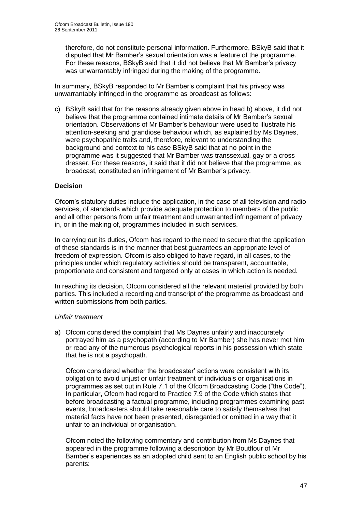therefore, do not constitute personal information. Furthermore, BSkyB said that it disputed that Mr Bamber"s sexual orientation was a feature of the programme. For these reasons, BSkyB said that it did not believe that Mr Bamber"s privacy was unwarrantably infringed during the making of the programme.

In summary, BSkyB responded to Mr Bamber"s complaint that his privacy was unwarrantably infringed in the programme as broadcast as follows:

c) BSkyB said that for the reasons already given above in head b) above, it did not believe that the programme contained intimate details of Mr Bamber"s sexual orientation. Observations of Mr Bamber"s behaviour were used to illustrate his attention-seeking and grandiose behaviour which, as explained by Ms Daynes, were psychopathic traits and, therefore, relevant to understanding the background and context to his case BSkyB said that at no point in the programme was it suggested that Mr Bamber was transsexual, gay or a cross dresser. For these reasons, it said that it did not believe that the programme, as broadcast, constituted an infringement of Mr Bamber"s privacy.

#### **Decision**

Ofcom"s statutory duties include the application, in the case of all television and radio services, of standards which provide adequate protection to members of the public and all other persons from unfair treatment and unwarranted infringement of privacy in, or in the making of, programmes included in such services.

In carrying out its duties, Ofcom has regard to the need to secure that the application of these standards is in the manner that best guarantees an appropriate level of freedom of expression. Ofcom is also obliged to have regard, in all cases, to the principles under which regulatory activities should be transparent, accountable, proportionate and consistent and targeted only at cases in which action is needed.

In reaching its decision, Ofcom considered all the relevant material provided by both parties. This included a recording and transcript of the programme as broadcast and written submissions from both parties.

#### *Unfair treatment*

a) Ofcom considered the complaint that Ms Daynes unfairly and inaccurately portrayed him as a psychopath (according to Mr Bamber) she has never met him or read any of the numerous psychological reports in his possession which state that he is not a psychopath.

Ofcom considered whether the broadcaster" actions were consistent with its obligation to avoid unjust or unfair treatment of individuals or organisations in programmes as set out in Rule 7.1 of the Ofcom Broadcasting Code ("the Code"). In particular, Ofcom had regard to Practice 7.9 of the Code which states that before broadcasting a factual programme, including programmes examining past events, broadcasters should take reasonable care to satisfy themselves that material facts have not been presented, disregarded or omitted in a way that it unfair to an individual or organisation.

Ofcom noted the following commentary and contribution from Ms Daynes that appeared in the programme following a description by Mr Boutflour of Mr Bamber"s experiences as an adopted child sent to an English public school by his parents: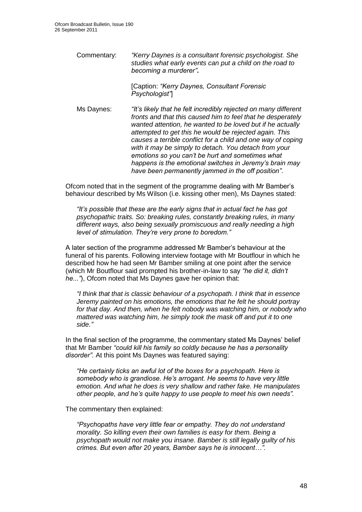Commentary: *"Kerry Daynes is a consultant forensic psychologist. She studies what early events can put a child on the road to becoming a murderer"***.**

> [Caption: *"Kerry Daynes, Consultant Forensic Psychologist"*]

Ms Daynes: *"It"s likely that he felt incredibly rejected on many different fronts and that this caused him to feel that he desperately wanted attention, he wanted to be loved but if he actually attempted to get this he would be rejected again. This causes a terrible conflict for a child and one way of coping with it may be simply to detach. You detach from your emotions so you can"t be hurt and sometimes what happens is the emotional switches in Jeremy"s brain may have been permanently jammed in the off position"*.

Ofcom noted that in the segment of the programme dealing with Mr Bamber"s behaviour described by Ms Wilson (i.e. kissing other men), Ms Daynes stated:

*"It"s possible that these are the early signs that in actual fact he has got psychopathic traits. So: breaking rules, constantly breaking rules, in many different ways, also being sexually promiscuous and really needing a high level of stimulation. They"re very prone to boredom."*

A later section of the programme addressed Mr Bamber"s behaviour at the funeral of his parents. Following interview footage with Mr Boutflour in which he described how he had seen Mr Bamber smiling at one point after the service (which Mr Boutflour said prompted his brother-in-law to say *"he did it, didn"t he..."*), Ofcom noted that Ms Daynes gave her opinion that:

*"I think that that is classic behaviour of a psychopath. I think that in essence Jeremy painted on his emotions, the emotions that he felt he should portray for that day. And then, when he felt nobody was watching him, or nobody who mattered was watching him, he simply took the mask off and put it to one side*.*"*

In the final section of the programme, the commentary stated Ms Daynes" belief that Mr Bamber *"could kill his family so coldly because he has a personality disorder"*. At this point Ms Daynes was featured saying:

*"He certainly ticks an awful lot of the boxes for a psychopath. Here is somebody who is grandiose. He"s arrogant. He seems to have very little emotion. And what he does is very shallow and rather fake. He manipulates other people, and he"s quite happy to use people to meet his own needs".*

The commentary then explained:

*"Psychopaths have very little fear or empathy. They do not understand morality. So killing even their own families is easy for them. Being a psychopath would not make you insane. Bamber is still legally guilty of his crimes. But even after 20 years, Bamber says he is innocent…".*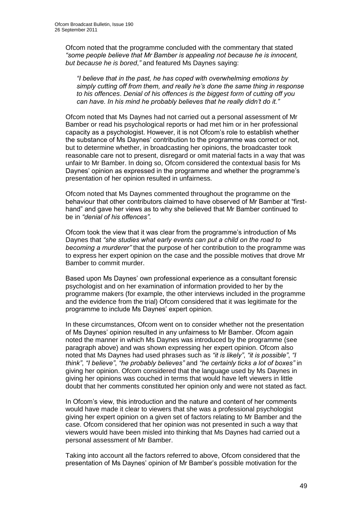Ofcom noted that the programme concluded with the commentary that stated *"some people believe that Mr Bamber is appealing not because he is innocent, but because he is bored*,*"* and featured Ms Daynes saying:

*"I believe that in the past, he has coped with overwhelming emotions by simply cutting off from them, and really he"s done the same thing in response to his offences*. *Denial of his offences is the biggest form of cutting off you can have. In his mind he probably believes that he really didn"t do it."*

Ofcom noted that Ms Daynes had not carried out a personal assessment of Mr Bamber or read his psychological reports or had met him or in her professional capacity as a psychologist. However, it is not Ofcom"s role to establish whether the substance of Ms Daynes" contribution to the programme was correct or not, but to determine whether, in broadcasting her opinions, the broadcaster took reasonable care not to present, disregard or omit material facts in a way that was unfair to Mr Bamber. In doing so, Ofcom considered the contextual basis for Ms Daynes" opinion as expressed in the programme and whether the programme"s presentation of her opinion resulted in unfairness.

Ofcom noted that Ms Daynes commented throughout the programme on the behaviour that other contributors claimed to have observed of Mr Bamber at "firsthand" and gave her views as to why she believed that Mr Bamber continued to be in *"denial of his offences"*.

Ofcom took the view that it was clear from the programme"s introduction of Ms Daynes that *"she studies what early events can put a child on the road to becoming a murderer"* that the purpose of her contribution to the programme was to express her expert opinion on the case and the possible motives that drove Mr Bamber to commit murder.

Based upon Ms Daynes" own professional experience as a consultant forensic psychologist and on her examination of information provided to her by the programme makers (for example, the other interviews included in the programme and the evidence from the trial) Ofcom considered that it was legitimate for the programme to include Ms Daynes" expert opinion.

In these circumstances, Ofcom went on to consider whether not the presentation of Ms Daynes" opinion resulted in any unfairness to Mr Bamber. Ofcom again noted the manner in which Ms Daynes was introduced by the programme (see paragraph above) and was shown expressing her expert opinion. Ofcom also noted that Ms Daynes had used phrases such as *"it is likely"*, *"it is possible"*, *"I think"*, *"I believe"*, *"he probably believes"* and *"he certainly ticks a lot of boxes"* in giving her opinion. Ofcom considered that the language used by Ms Daynes in giving her opinions was couched in terms that would have left viewers in little doubt that her comments constituted her opinion only and were not stated as fact.

In Ofcom"s view, this introduction and the nature and content of her comments would have made it clear to viewers that she was a professional psychologist giving her expert opinion on a given set of factors relating to Mr Bamber and the case. Ofcom considered that her opinion was not presented in such a way that viewers would have been misled into thinking that Ms Daynes had carried out a personal assessment of Mr Bamber.

Taking into account all the factors referred to above, Ofcom considered that the presentation of Ms Daynes" opinion of Mr Bamber"s possible motivation for the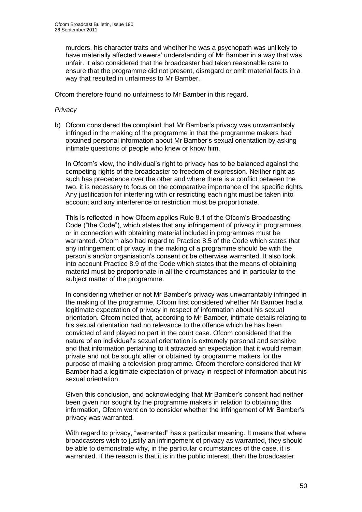murders, his character traits and whether he was a psychopath was unlikely to have materially affected viewers" understanding of Mr Bamber in a way that was unfair. It also considered that the broadcaster had taken reasonable care to ensure that the programme did not present, disregard or omit material facts in a way that resulted in unfairness to Mr Bamber.

Ofcom therefore found no unfairness to Mr Bamber in this regard.

#### *Privacy*

b) Ofcom considered the complaint that Mr Bamber"s privacy was unwarrantably infringed in the making of the programme in that the programme makers had obtained personal information about Mr Bamber"s sexual orientation by asking intimate questions of people who knew or know him.

In Ofcom"s view, the individual"s right to privacy has to be balanced against the competing rights of the broadcaster to freedom of expression. Neither right as such has precedence over the other and where there is a conflict between the two, it is necessary to focus on the comparative importance of the specific rights. Any justification for interfering with or restricting each right must be taken into account and any interference or restriction must be proportionate.

This is reflected in how Ofcom applies Rule 8.1 of the Ofcom"s Broadcasting Code ("the Code"), which states that any infringement of privacy in programmes or in connection with obtaining material included in programmes must be warranted. Ofcom also had regard to Practice 8.5 of the Code which states that any infringement of privacy in the making of a programme should be with the person"s and/or organisation"s consent or be otherwise warranted. It also took into account Practice 8.9 of the Code which states that the means of obtaining material must be proportionate in all the circumstances and in particular to the subject matter of the programme.

In considering whether or not Mr Bamber"s privacy was unwarrantably infringed in the making of the programme, Ofcom first considered whether Mr Bamber had a legitimate expectation of privacy in respect of information about his sexual orientation. Ofcom noted that, according to Mr Bamber, intimate details relating to his sexual orientation had no relevance to the offence which he has been convicted of and played no part in the court case. Ofcom considered that the nature of an individual"s sexual orientation is extremely personal and sensitive and that information pertaining to it attracted an expectation that it would remain private and not be sought after or obtained by programme makers for the purpose of making a television programme. Ofcom therefore considered that Mr Bamber had a legitimate expectation of privacy in respect of information about his sexual orientation.

Given this conclusion, and acknowledging that Mr Bamber"s consent had neither been given nor sought by the programme makers in relation to obtaining this information, Ofcom went on to consider whether the infringement of Mr Bamber"s privacy was warranted.

With regard to privacy, "warranted" has a particular meaning. It means that where broadcasters wish to justify an infringement of privacy as warranted, they should be able to demonstrate why, in the particular circumstances of the case, it is warranted. If the reason is that it is in the public interest, then the broadcaster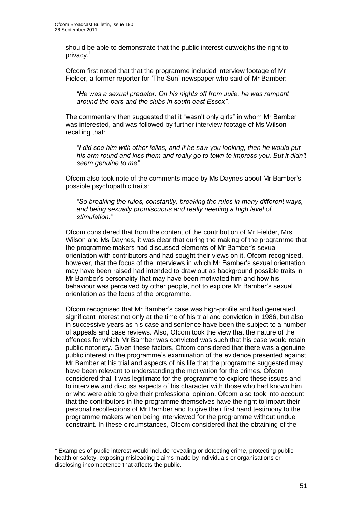1

should be able to demonstrate that the public interest outweighs the right to privacy.<sup>1</sup>

Ofcom first noted that that the programme included interview footage of Mr Fielder, a former reporter for "The Sun" newspaper who said of Mr Bamber:

*"He was a sexual predator. On his nights off from Julie, he was rampant around the bars and the clubs in south east Essex"*.

The commentary then suggested that it "wasn"t only girls" in whom Mr Bamber was interested, and was followed by further interview footage of Ms Wilson recalling that:

*"I did see him with other fellas, and if he saw you looking, then he would put his arm round and kiss them and really go to town to impress you. But it didn"t seem genuine to me".*

Ofcom also took note of the comments made by Ms Daynes about Mr Bamber"s possible psychopathic traits:

*"So breaking the rules, constantly, breaking the rules in many different ways, and being sexually promiscuous and really needing a high level of stimulation."* 

Ofcom considered that from the content of the contribution of Mr Fielder, Mrs Wilson and Ms Daynes, it was clear that during the making of the programme that the programme makers had discussed elements of Mr Bamber"s sexual orientation with contributors and had sought their views on it. Ofcom recognised, however, that the focus of the interviews in which Mr Bamber"s sexual orientation may have been raised had intended to draw out as background possible traits in Mr Bamber"s personality that may have been motivated him and how his behaviour was perceived by other people, not to explore Mr Bamber"s sexual orientation as the focus of the programme.

Ofcom recognised that Mr Bamber"s case was high-profile and had generated significant interest not only at the time of his trial and conviction in 1986, but also in successive years as his case and sentence have been the subject to a number of appeals and case reviews. Also, Ofcom took the view that the nature of the offences for which Mr Bamber was convicted was such that his case would retain public notoriety. Given these factors, Ofcom considered that there was a genuine public interest in the programme's examination of the evidence presented against Mr Bamber at his trial and aspects of his life that the programme suggested may have been relevant to understanding the motivation for the crimes. Ofcom considered that it was legitimate for the programme to explore these issues and to interview and discuss aspects of his character with those who had known him or who were able to give their professional opinion. Ofcom also took into account that the contributors in the programme themselves have the right to impart their personal recollections of Mr Bamber and to give their first hand testimony to the programme makers when being interviewed for the programme without undue constraint. In these circumstances, Ofcom considered that the obtaining of the

 $1$  Examples of public interest would include revealing or detecting crime, protecting public health or safety, exposing misleading claims made by individuals or organisations or disclosing incompetence that affects the public.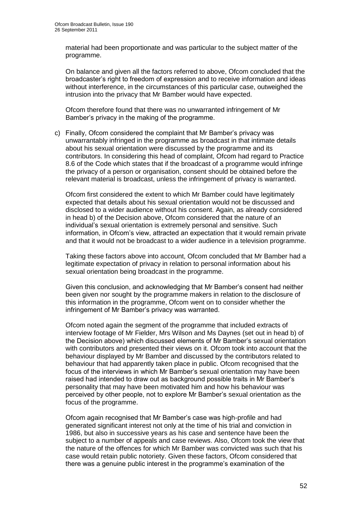material had been proportionate and was particular to the subject matter of the programme.

On balance and given all the factors referred to above, Ofcom concluded that the broadcaster"s right to freedom of expression and to receive information and ideas without interference, in the circumstances of this particular case, outweighed the intrusion into the privacy that Mr Bamber would have expected.

Ofcom therefore found that there was no unwarranted infringement of Mr Bamber"s privacy in the making of the programme.

c) Finally, Ofcom considered the complaint that Mr Bamber"s privacy was unwarrantably infringed in the programme as broadcast in that intimate details about his sexual orientation were discussed by the programme and its contributors. In considering this head of complaint, Ofcom had regard to Practice 8.6 of the Code which states that if the broadcast of a programme would infringe the privacy of a person or organisation, consent should be obtained before the relevant material is broadcast, unless the infringement of privacy is warranted.

Ofcom first considered the extent to which Mr Bamber could have legitimately expected that details about his sexual orientation would not be discussed and disclosed to a wider audience without his consent. Again, as already considered in head b) of the Decision above, Ofcom considered that the nature of an individual"s sexual orientation is extremely personal and sensitive. Such information, in Ofcom"s view, attracted an expectation that it would remain private and that it would not be broadcast to a wider audience in a television programme.

Taking these factors above into account, Ofcom concluded that Mr Bamber had a legitimate expectation of privacy in relation to personal information about his sexual orientation being broadcast in the programme.

Given this conclusion, and acknowledging that Mr Bamber"s consent had neither been given nor sought by the programme makers in relation to the disclosure of this information in the programme, Ofcom went on to consider whether the infringement of Mr Bamber"s privacy was warranted.

Ofcom noted again the segment of the programme that included extracts of interview footage of Mr Fielder, Mrs Wilson and Ms Daynes (set out in head b) of the Decision above) which discussed elements of Mr Bamber"s sexual orientation with contributors and presented their views on it. Ofcom took into account that the behaviour displayed by Mr Bamber and discussed by the contributors related to behaviour that had apparently taken place in public. Ofcom recognised that the focus of the interviews in which Mr Bamber"s sexual orientation may have been raised had intended to draw out as background possible traits in Mr Bamber"s personality that may have been motivated him and how his behaviour was perceived by other people, not to explore Mr Bamber"s sexual orientation as the focus of the programme.

Ofcom again recognised that Mr Bamber"s case was high-profile and had generated significant interest not only at the time of his trial and conviction in 1986, but also in successive years as his case and sentence have been the subject to a number of appeals and case reviews. Also, Ofcom took the view that the nature of the offences for which Mr Bamber was convicted was such that his case would retain public notoriety. Given these factors, Ofcom considered that there was a genuine public interest in the programme"s examination of the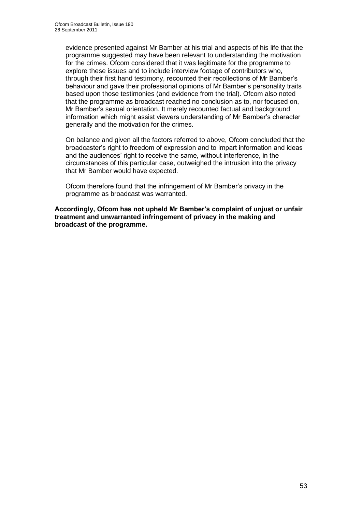evidence presented against Mr Bamber at his trial and aspects of his life that the programme suggested may have been relevant to understanding the motivation for the crimes. Ofcom considered that it was legitimate for the programme to explore these issues and to include interview footage of contributors who, through their first hand testimony, recounted their recollections of Mr Bamber"s behaviour and gave their professional opinions of Mr Bamber"s personality traits based upon those testimonies (and evidence from the trial). Ofcom also noted that the programme as broadcast reached no conclusion as to, nor focused on, Mr Bamber"s sexual orientation. It merely recounted factual and background information which might assist viewers understanding of Mr Bamber"s character generally and the motivation for the crimes.

On balance and given all the factors referred to above, Ofcom concluded that the broadcaster"s right to freedom of expression and to impart information and ideas and the audiences" right to receive the same, without interference, in the circumstances of this particular case, outweighed the intrusion into the privacy that Mr Bamber would have expected.

Ofcom therefore found that the infringement of Mr Bamber"s privacy in the programme as broadcast was warranted.

**Accordingly, Ofcom has not upheld Mr Bamber's complaint of unjust or unfair treatment and unwarranted infringement of privacy in the making and broadcast of the programme.**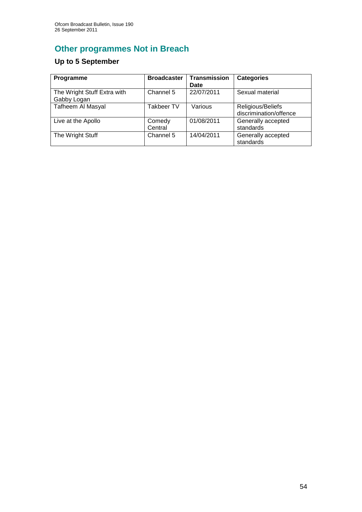# **Other programmes Not in Breach**

## **Up to 5 September**

| Programme                                  | <b>Broadcaster</b> | <b>Transmission</b><br>Date | <b>Categories</b>                           |
|--------------------------------------------|--------------------|-----------------------------|---------------------------------------------|
| The Wright Stuff Extra with<br>Gabby Logan | Channel 5          | 22/07/2011                  | Sexual material                             |
| <b>Tafheem Al Masyal</b>                   | <b>Takbeer TV</b>  | Various                     | Religious/Beliefs<br>discrimination/offence |
| Live at the Apollo                         | Comedy<br>Central  | 01/08/2011                  | Generally accepted<br>standards             |
| The Wright Stuff                           | Channel 5          | 14/04/2011                  | Generally accepted<br>standards             |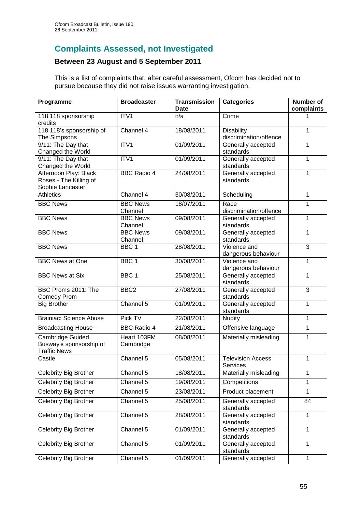## **Complaints Assessed, not Investigated**

## **Between 23 August and 5 September 2011**

This is a list of complaints that, after careful assessment, Ofcom has decided not to pursue because they did not raise issues warranting investigation.

| Programme                                                           | <b>Broadcaster</b>         | <b>Transmission</b><br><b>Date</b> | <b>Categories</b>                           | <b>Number of</b><br>complaints |
|---------------------------------------------------------------------|----------------------------|------------------------------------|---------------------------------------------|--------------------------------|
| 118 118 sponsorship<br>credits                                      | ITV1                       | n/a                                | Crime                                       |                                |
| 118 118's sponsorship of<br>The Simpsons                            | Channel 4                  | 18/08/2011                         | <b>Disability</b><br>discrimination/offence | 1                              |
| 9/11: The Day that<br>Changed the World                             | ITV1                       | 01/09/2011                         | Generally accepted<br>standards             | 1                              |
| 9/11: The Day that<br>Changed the World                             | ITV1                       | 01/09/2011                         | Generally accepted<br>standards             | 1                              |
| Afternoon Play: Black<br>Roses - The Killing of<br>Sophie Lancaster | <b>BBC Radio 4</b>         | 24/08/2011                         | Generally accepted<br>standards             | 1                              |
| <b>Athletics</b>                                                    | Channel 4                  | 30/08/2011                         | Scheduling                                  | 1                              |
| <b>BBC News</b>                                                     | <b>BBC News</b><br>Channel | 18/07/2011                         | Race<br>discrimination/offence              | 1                              |
| <b>BBC News</b>                                                     | <b>BBC News</b><br>Channel | 09/08/2011                         | Generally accepted<br>standards             | 1                              |
| <b>BBC News</b>                                                     | <b>BBC News</b><br>Channel | 09/08/2011                         | Generally accepted<br>standards             | 1                              |
| <b>BBC News</b>                                                     | BBC <sub>1</sub>           | 28/08/2011                         | Violence and<br>dangerous behaviour         | 3                              |
| <b>BBC</b> News at One                                              | BBC <sub>1</sub>           | 30/08/2011                         | Violence and<br>dangerous behaviour         | 1                              |
| <b>BBC News at Six</b>                                              | BBC <sub>1</sub>           | 25/08/2011                         | Generally accepted<br>standards             | 1                              |
| BBC Proms 2011: The<br><b>Comedy Prom</b>                           | BBC <sub>2</sub>           | 27/08/2011                         | Generally accepted<br>standards             | 3                              |
| <b>Big Brother</b>                                                  | Channel 5                  | 01/09/2011                         | Generally accepted<br>standards             | 1                              |
| <b>Brainiac: Science Abuse</b>                                      | Pick TV                    | 22/08/2011                         | <b>Nudity</b>                               | 1                              |
| <b>Broadcasting House</b>                                           | <b>BBC Radio 4</b>         | 21/08/2011                         | Offensive language                          | 1                              |
| Cambridge Guided<br>Busway's sponsorship of<br><b>Traffic News</b>  | Heart 103FM<br>Cambridge   | 08/08/2011                         | Materially misleading                       | 1                              |
| Castle                                                              | Channel 5                  | 05/08/2011                         | Television Access<br><b>Services</b>        | 1                              |
| Celebrity Big Brother                                               | Channel 5                  | 18/08/2011                         | Materially misleading                       | 1                              |
| Celebrity Big Brother                                               | Channel 5                  | 19/08/2011                         | Competitions                                | 1                              |
| Celebrity Big Brother                                               | Channel 5                  | 23/08/2011                         | Product placement                           | $\mathbf{1}$                   |
| Celebrity Big Brother                                               | Channel 5                  | 25/08/2011                         | Generally accepted<br>standards             | 84                             |
| <b>Celebrity Big Brother</b>                                        | Channel 5                  | 28/08/2011                         | Generally accepted<br>standards             | 1                              |
| <b>Celebrity Big Brother</b>                                        | Channel 5                  | 01/09/2011                         | Generally accepted<br>standards             | 1                              |
| Celebrity Big Brother                                               | Channel 5                  | 01/09/2011                         | Generally accepted<br>standards             | $\mathbf{1}$                   |
| Celebrity Big Brother                                               | Channel 5                  | 01/09/2011                         | Generally accepted                          | 1                              |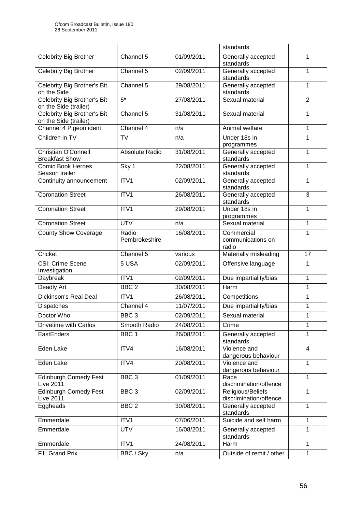|                                                      |                        | standards  |                                                       |                         |
|------------------------------------------------------|------------------------|------------|-------------------------------------------------------|-------------------------|
| Celebrity Big Brother                                | Channel 5              | 01/09/2011 | Generally accepted<br>standards                       | 1                       |
| <b>Celebrity Big Brother</b>                         | Channel 5              | 02/09/2011 | Generally accepted<br>standards                       | 1                       |
| Celebrity Big Brother's Bit<br>on the Side           | Channel 5              | 29/08/2011 | Generally accepted<br>standards                       | 1                       |
| Celebrity Big Brother's Bit<br>on the Side (trailer) | $5*$                   | 27/08/2011 | Sexual material                                       | $\overline{2}$          |
| Celebrity Big Brother's Bit<br>on the Side (trailer) | Channel 5              | 31/08/2011 | Sexual material                                       | 1                       |
| Channel 4 Pigeon ident                               | Channel 4              | n/a        | Animal welfare                                        | 1                       |
| Children in TV                                       | <b>TV</b>              | n/a        | Under 18s in<br>programmes                            | 1                       |
| <b>Christian O'Connell</b><br><b>Breakfast Show</b>  | Absolute Radio         | 31/08/2011 | Generally accepted<br>standards                       | 1                       |
| <b>Comic Book Heroes</b><br>Season trailer           | Sky 1                  | 22/08/2011 | Generally accepted<br>standards                       | 1                       |
| Continuity announcement                              | ITV1                   | 02/09/2011 | Generally accepted<br>standards                       | 1                       |
| <b>Coronation Street</b>                             | ITV1                   | 26/08/2011 | Generally accepted<br>standards                       | 3                       |
| <b>Coronation Street</b>                             | ITV1                   | 29/08/2011 | Under 18s in<br>programmes                            | 1                       |
| <b>Coronation Street</b>                             | <b>UTV</b>             | n/a        | Sexual material                                       | 1                       |
| <b>County Show Coverage</b>                          | Radio<br>Pembrokeshire | 16/08/2011 | Commercial<br>communications on<br>radio              | 1                       |
| Cricket                                              | Channel 5              | various    | Materially misleading                                 | 17                      |
| <b>CSI: Crime Scene</b><br>Investigation             | 5 USA                  | 02/09/2011 | Offensive language                                    | 1                       |
| Daybreak                                             | ITV1                   | 02/09/2011 | Due impartiality/bias<br>1                            |                         |
| Deadly Art                                           | BBC <sub>2</sub>       | 30/08/2011 | Harm                                                  | 1                       |
| <b>Dickinson's Real Deal</b>                         | ITV1                   | 26/08/2011 | Competitions                                          | 1                       |
| Dispatches                                           | Channel 4              | 11/07/2011 | Due impartiality/bias                                 | 1                       |
| Doctor Who                                           | BBC <sub>3</sub>       | 02/09/2011 | Sexual material                                       | 1                       |
| <b>Drivetime with Carlos</b>                         | Smooth Radio           | 24/08/2011 | Crime                                                 | 1                       |
| EastEnders                                           | BBC <sub>1</sub>       | 26/08/2011 | Generally accepted<br>standards                       | 1                       |
| Eden Lake                                            | ITV4                   | 16/08/2011 | Violence and<br>dangerous behaviour                   | $\overline{\mathbf{4}}$ |
| Eden Lake                                            |                        |            |                                                       |                         |
|                                                      | ITV4                   | 20/08/2011 | Violence and                                          | 1                       |
| <b>Edinburgh Comedy Fest</b><br><b>Live 2011</b>     | BBC <sub>3</sub>       | 01/09/2011 | dangerous behaviour<br>Race<br>discrimination/offence | $\mathbf{1}$            |
| <b>Edinburgh Comedy Fest</b><br><b>Live 2011</b>     | BBC <sub>3</sub>       | 02/09/2011 | Religious/Beliefs<br>discrimination/offence           | $\mathbf{1}$            |
| Eggheads                                             | BBC <sub>2</sub>       | 30/08/2011 | Generally accepted<br>standards                       | 1                       |
| Emmerdale                                            | ITV1                   | 07/06/2011 | Suicide and self harm                                 | 1                       |
| Emmerdale                                            | <b>UTV</b>             | 16/08/2011 | Generally accepted<br>standards                       | 1                       |
| Emmerdale                                            | ITV1                   | 24/08/2011 | Harm                                                  | 1                       |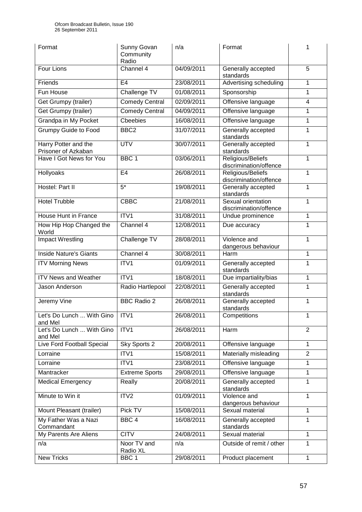| Format                                      | Sunny Govan<br>Community<br>Radio | n/a        | Format                                            | 1              |
|---------------------------------------------|-----------------------------------|------------|---------------------------------------------------|----------------|
| Four Lions                                  | Channel 4                         | 04/09/2011 | Generally accepted<br>standards                   | 5              |
| Friends                                     | E <sub>4</sub>                    | 23/08/2011 | Advertising scheduling                            | $\mathbf{1}$   |
| Fun House                                   | Challenge TV                      | 01/08/2011 | Sponsorship                                       | 1              |
| Get Grumpy (trailer)                        | <b>Comedy Central</b>             | 02/09/2011 | Offensive language                                | $\overline{4}$ |
| Get Grumpy (trailer)                        | <b>Comedy Central</b>             | 04/09/2011 | Offensive language                                | 1              |
| Grandpa in My Pocket                        | <b>Cheebies</b>                   | 16/08/2011 | Offensive language                                | $\mathbf{1}$   |
| <b>Grumpy Guide to Food</b>                 | BBC <sub>2</sub>                  | 31/07/2011 | Generally accepted<br>standards                   | 1              |
| Harry Potter and the<br>Prisoner of Azkaban | <b>UTV</b>                        | 30/07/2011 | Generally accepted<br>standards                   | 1              |
| Have I Got News for You                     | BBC <sub>1</sub>                  | 03/06/2011 | Religious/Beliefs<br>discrimination/offence       | $\mathbf{1}$   |
| Hollyoaks                                   | E4                                | 26/08/2011 | Religious/Beliefs<br>discrimination/offence       | $\mathbf{1}$   |
| Hostel: Part II                             | $5*$                              | 19/08/2011 | Generally accepted<br>standards                   | 1              |
| <b>Hotel Trubble</b>                        | <b>CBBC</b>                       | 21/08/2011 | Sexual orientation<br>discrimination/offence      | 1              |
| House Hunt in France                        | ITV1                              | 31/08/2011 | Undue prominence                                  | 1              |
| How Hip Hop Changed the<br>World            | Channel 4                         | 12/08/2011 | Due accuracy                                      | 1              |
| <b>Impact Wrestling</b>                     | Challenge TV                      | 28/08/2011 | Violence and<br>1<br>dangerous behaviour          |                |
| <b>Inside Nature's Giants</b>               | Channel 4                         | 30/08/2011 | $\mathbf{1}$<br>Harm                              |                |
| <b>ITV Morning News</b>                     | ITV1                              | 01/09/2011 | $\overline{1}$<br>Generally accepted<br>standards |                |
| <b>ITV News and Weather</b>                 | ITV1                              | 18/08/2011 | Due impartiality/bias                             | $\mathbf{1}$   |
| Jason Anderson                              | Radio Hartlepool                  | 22/08/2011 | Generally accepted<br>standards                   | 1              |
| Jeremy Vine                                 | <b>BBC Radio 2</b>                | 26/08/2011 | Generally accepted<br>standards                   | 1              |
| Let's Do Lunch  With Gino<br>and Mel        | ITV1                              | 26/08/2011 | Competitions                                      | 1              |
| Let's Do Lunch  With Gino<br>and Mel        | ITV1                              | 26/08/2011 | Harm                                              | $\overline{2}$ |
| Live Ford Football Special                  | Sky Sports 2                      | 20/08/2011 | Offensive language                                | $\mathbf{1}$   |
| Lorraine                                    | ITV1                              | 15/08/2011 | Materially misleading                             | $\overline{2}$ |
| Lorraine                                    | ITV1                              | 23/08/2011 | Offensive language                                | $\mathbf{1}$   |
| Mantracker                                  | <b>Extreme Sports</b>             | 29/08/2011 | Offensive language                                | 1              |
| <b>Medical Emergency</b>                    | Really                            | 20/08/2011 | Generally accepted<br>standards                   |                |
| Minute to Win it                            | ITV2                              | 01/09/2011 | Violence and<br>dangerous behaviour               | 1              |
| Mount Pleasant (trailer)                    | Pick TV                           | 15/08/2011 | Sexual material                                   | $\mathbf{1}$   |
| My Father Was a Nazi<br>Commandant          | BBC <sub>4</sub>                  | 16/08/2011 | Generally accepted<br>standards                   | $\mathbf{1}$   |
| My Parents Are Aliens                       | <b>CITV</b>                       | 24/08/2011 | Sexual material                                   | $\mathbf{1}$   |
| n/a                                         | Noor TV and<br>Radio XL           | n/a        | Outside of remit / other                          | 1              |
| <b>New Tricks</b>                           | BBC <sub>1</sub>                  | 29/08/2011 | Product placement                                 | 1              |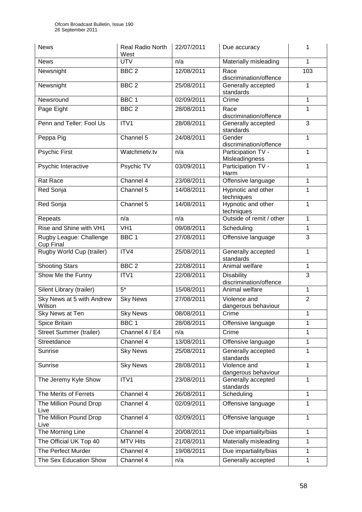| <b>News</b>                          | <b>Real Radio North</b><br>West | 22/07/2011 | Due accuracy                                    | 1              |
|--------------------------------------|---------------------------------|------------|-------------------------------------------------|----------------|
| <b>News</b>                          | <b>UTV</b>                      | n/a        | Materially misleading                           | 1              |
| Newsnight                            | BBC <sub>2</sub>                | 12/08/2011 | Race<br>discrimination/offence                  | 103            |
| Newsnight                            | BBC <sub>2</sub>                | 25/08/2011 | Generally accepted<br>standards                 | 1              |
| Newsround                            | BBC <sub>1</sub>                | 02/09/2011 | Crime                                           | 1              |
| Page Eight                           | BBC <sub>2</sub>                | 28/08/2011 | Race<br>discrimination/offence                  | 1              |
| Penn and Teller: Fool Us             | ITV1                            | 28/08/2011 | Generally accepted<br>standards                 | 3              |
| Peppa Pig                            | Channel 5                       | 24/08/2011 | Gender<br>discrimination/offence                | 1              |
| <b>Psychic First</b>                 | Watchmetv.tv                    | n/a        | Participation TV -<br>Misleadingness            | 1              |
| Psychic Interactive                  | Psychic TV                      | 03/09/2011 | Participation TV -<br>Harm                      | 1              |
| Rat Race                             | Channel 4                       | 23/08/2011 | Offensive language                              | 1              |
| Red Sonja                            | Channel 5                       | 14/08/2011 | Hypnotic and other<br>techniques                | 1              |
| Red Sonja                            | Channel 5                       | 14/08/2011 | Hypnotic and other<br>techniques                | $\mathbf{1}$   |
| Repeats                              | n/a                             | n/a        | Outside of remit / other                        | $\mathbf{1}$   |
| Rise and Shine with VH1              | VH <sub>1</sub>                 | 09/08/2011 | Scheduling                                      | $\mathbf{1}$   |
| Rugby League: Challenge<br>Cup Final | BBC <sub>1</sub>                | 27/08/2011 | Offensive language                              | 3              |
| Rugby World Cup (trailer)            | ITV4                            | 25/08/2011 | Generally accepted<br>$\mathbf{1}$<br>standards |                |
| <b>Shooting Stars</b>                | BBC <sub>2</sub>                | 22/08/2011 | Animal welfare                                  | $\mathbf{1}$   |
| Show Me the Funny                    | ITV1                            | 22/08/2011 | <b>Disability</b><br>discrimination/offence     | $\overline{3}$ |
| Silent Library (trailer)             | $5*$                            | 15/08/2011 | Animal welfare                                  | 1              |
| Sky News at 5 with Andrew<br>Wilson  | <b>Sky News</b>                 | 27/08/2011 | Violence and<br>dangerous behaviour             | $\overline{2}$ |
| Sky News at Ten                      | <b>Sky News</b>                 | 08/08/2011 | Crime                                           | 1              |
| Spice Britain                        | BBC <sub>1</sub>                | 28/08/2011 | Offensive language                              | 1              |
| <b>Street Summer (trailer)</b>       | Channel 4 / E4                  | n/a        | Crime                                           | 1              |
| Streetdance                          | Channel 4                       | 13/08/2011 | Offensive language                              | 1              |
| Sunrise                              | <b>Sky News</b>                 | 25/08/2011 | Generally accepted<br>$\mathbf{1}$<br>standards |                |
| Sunrise                              | <b>Sky News</b>                 | 28/08/2011 | Violence and<br>dangerous behaviour             | 1              |
| The Jeremy Kyle Show                 | ITV1                            | 23/08/2011 | Generally accepted<br>standards                 | $\mathbf{1}$   |
| The Merits of Ferrets                | Channel 4                       | 26/08/2011 | Scheduling                                      | $\mathbf{1}$   |
| The Million Pound Drop<br>Live       | Channel 4                       | 02/09/2011 | Offensive language                              | 1              |
| The Million Pound Drop<br>Live       | Channel 4                       | 02/09/2011 | Offensive language                              | 1              |
| The Morning Line                     | Channel 4                       | 20/08/2011 | Due impartiality/bias                           | 1              |
| The Official UK Top 40               | <b>MTV Hits</b>                 | 21/08/2011 | Materially misleading                           | $\mathbf{1}$   |
| The Perfect Murder                   | Channel 4                       | 19/08/2011 | Due impartiality/bias                           | 1              |
| The Sex Education Show               | Channel 4                       | n/a        | Generally accepted                              | $\mathbf{1}$   |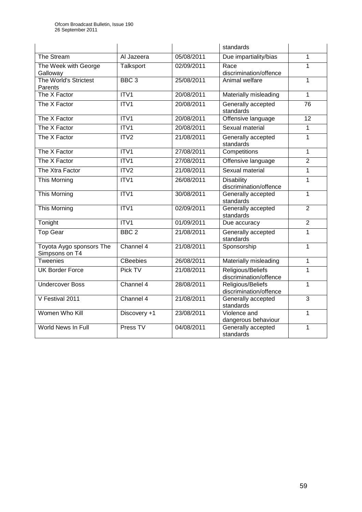|                                            |                  |            | standards                                        |                 |
|--------------------------------------------|------------------|------------|--------------------------------------------------|-----------------|
| The Stream                                 | Al Jazeera       | 05/08/2011 | Due impartiality/bias                            | 1               |
| The Week with George<br>Galloway           | Talksport        | 02/09/2011 | Race<br>discrimination/offence                   | 1               |
| The World's Strictest<br>Parents           | BBC <sub>3</sub> | 25/08/2011 | Animal welfare                                   | 1               |
| The X Factor                               | ITV1             | 20/08/2011 | Materially misleading                            | $\mathbf{1}$    |
| The X Factor                               | ITV1             | 20/08/2011 | Generally accepted<br>standards                  | $\overline{76}$ |
| The X Factor                               | ITV1             | 20/08/2011 | Offensive language                               | 12              |
| The X Factor                               | ITV1             | 20/08/2011 | Sexual material                                  | 1               |
| The X Factor                               | ITV2             | 21/08/2011 | Generally accepted<br>standards                  | 1               |
| The X Factor                               | ITV1             | 27/08/2011 | Competitions                                     | 1               |
| The X Factor                               | ITV <sub>1</sub> | 27/08/2011 | Offensive language                               | $\overline{2}$  |
| The Xtra Factor                            | ITV2             | 21/08/2011 | Sexual material                                  | 1               |
| This Morning                               | ITV1             | 26/08/2011 | <b>Disability</b><br>1<br>discrimination/offence |                 |
| This Morning                               | ITV1             | 30/08/2011 | Generally accepted<br>standards                  | 1               |
| This Morning                               | ITV <sub>1</sub> | 02/09/2011 | Generally accepted<br>standards                  | $\overline{2}$  |
| Tonight                                    | ITV1             | 01/09/2011 | Due accuracy                                     | $\overline{2}$  |
| <b>Top Gear</b>                            | BBC <sub>2</sub> | 21/08/2011 | Generally accepted<br>standards                  | $\overline{1}$  |
| Toyota Aygo sponsors The<br>Simpsons on T4 | Channel 4        | 21/08/2011 | Sponsorship                                      | 1               |
| Tweenies                                   | <b>CBeebies</b>  | 26/08/2011 | Materially misleading                            | 1               |
| <b>UK Border Force</b>                     | Pick TV          | 21/08/2011 | Religious/Beliefs<br>1<br>discrimination/offence |                 |
| <b>Undercover Boss</b>                     | Channel 4        | 28/08/2011 | Religious/Beliefs<br>1<br>discrimination/offence |                 |
| V Festival 2011                            | Channel 4        | 21/08/2011 | Generally accepted<br>standards                  | 3               |
| Women Who Kill                             | Discovery +1     | 23/08/2011 | Violence and<br>dangerous behaviour              | 1               |
| World News In Full                         | Press TV         | 04/08/2011 | Generally accepted<br>standards                  | 1               |